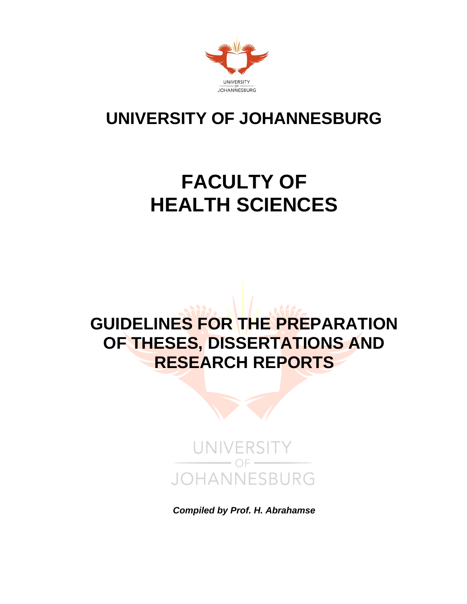

# **UNIVERSITY OF JOHANNESBURG**

# **FACULTY OF HEALTH SCIENCES**

# **GUIDELINES FOR THE PREPARATION OF THESES, DISSERTATIONS AND RESEARCH REPORTS**



*Compiled by Prof. H. Abrahamse*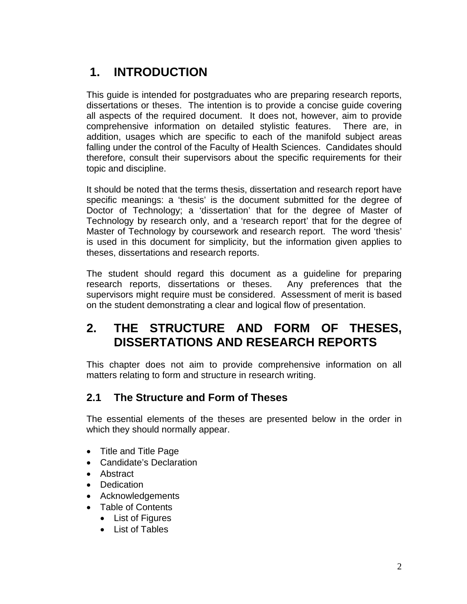# **1. INTRODUCTION**

This guide is intended for postgraduates who are preparing research reports, dissertations or theses. The intention is to provide a concise guide covering all aspects of the required document. It does not, however, aim to provide comprehensive information on detailed stylistic features. There are, in addition, usages which are specific to each of the manifold subject areas falling under the control of the Faculty of Health Sciences. Candidates should therefore, consult their supervisors about the specific requirements for their topic and discipline.

It should be noted that the terms thesis, dissertation and research report have specific meanings: a 'thesis' is the document submitted for the degree of Doctor of Technology; a 'dissertation' that for the degree of Master of Technology by research only, and a 'research report' that for the degree of Master of Technology by coursework and research report. The word 'thesis' is used in this document for simplicity, but the information given applies to theses, dissertations and research reports.

The student should regard this document as a guideline for preparing research reports, dissertations or theses. Any preferences that the supervisors might require must be considered. Assessment of merit is based on the student demonstrating a clear and logical flow of presentation.

# **2. THE STRUCTURE AND FORM OF THESES, DISSERTATIONS AND RESEARCH REPORTS**

This chapter does not aim to provide comprehensive information on all matters relating to form and structure in research writing.

## **2.1 The Structure and Form of Theses**

The essential elements of the theses are presented below in the order in which they should normally appear.

- Title and Title Page
- Candidate's Declaration
- Abstract
- Dedication
- Acknowledgements
- Table of Contents
	- List of Figures
	- List of Tables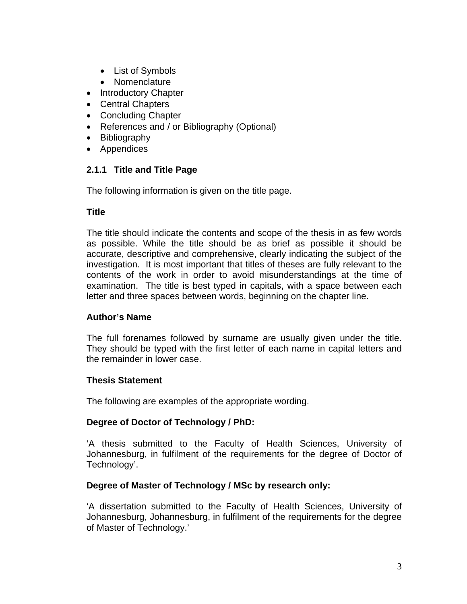- List of Symbols
- Nomenclature
- Introductory Chapter
- Central Chapters
- Concluding Chapter
- References and / or Bibliography (Optional)
- Bibliography
- Appendices

## **2.1.1 Title and Title Page**

The following information is given on the title page.

#### **Title**

The title should indicate the contents and scope of the thesis in as few words as possible. While the title should be as brief as possible it should be accurate, descriptive and comprehensive, clearly indicating the subject of the investigation. It is most important that titles of theses are fully relevant to the contents of the work in order to avoid misunderstandings at the time of examination. The title is best typed in capitals, with a space between each letter and three spaces between words, beginning on the chapter line.

#### **Author's Name**

The full forenames followed by surname are usually given under the title. They should be typed with the first letter of each name in capital letters and the remainder in lower case.

#### **Thesis Statement**

The following are examples of the appropriate wording.

#### **Degree of Doctor of Technology / PhD:**

'A thesis submitted to the Faculty of Health Sciences, University of Johannesburg, in fulfilment of the requirements for the degree of Doctor of Technology'.

#### **Degree of Master of Technology / MSc by research only:**

'A dissertation submitted to the Faculty of Health Sciences, University of Johannesburg, Johannesburg, in fulfilment of the requirements for the degree of Master of Technology.'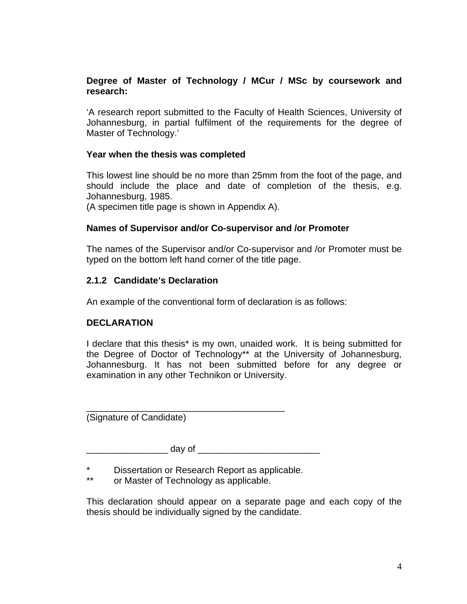#### **Degree of Master of Technology / MCur / MSc by coursework and research:**

'A research report submitted to the Faculty of Health Sciences, University of Johannesburg, in partial fulfilment of the requirements for the degree of Master of Technology.'

#### **Year when the thesis was completed**

This lowest line should be no more than 25mm from the foot of the page, and should include the place and date of completion of the thesis, e.g. Johannesburg, 1985.

(A specimen title page is shown in Appendix A).

#### **Names of Supervisor and/or Co-supervisor and /or Promoter**

The names of the Supervisor and/or Co-supervisor and /or Promoter must be typed on the bottom left hand corner of the title page.

#### **2.1.2 Candidate's Declaration**

An example of the conventional form of declaration is as follows:

#### **DECLARATION**

I declare that this thesis\* is my own, unaided work. It is being submitted for the Degree of Doctor of Technology\*\* at the University of Johannesburg, Johannesburg. It has not been submitted before for any degree or examination in any other Technikon or University.

(Signature of Candidate)

 $\frac{1}{2}$  day of  $\frac{1}{2}$ 

\_\_\_\_\_\_\_\_\_\_\_\_\_\_\_\_\_\_\_\_\_\_\_\_\_\_\_\_\_\_\_\_\_\_\_\_\_\_\_

\* Dissertation or Research Report as applicable.

\*\* or Master of Technology as applicable.

This declaration should appear on a separate page and each copy of the thesis should be individually signed by the candidate.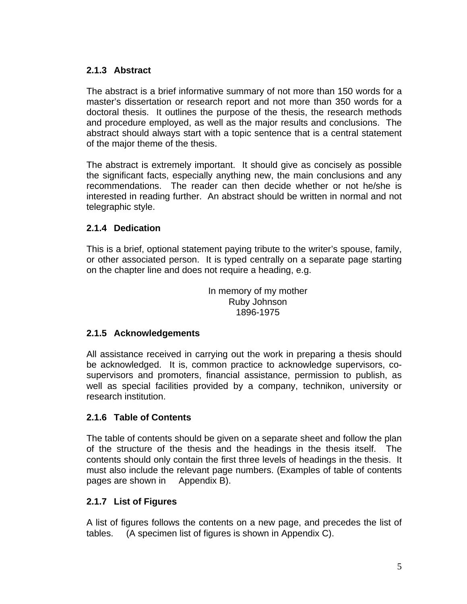## **2.1.3 Abstract**

The abstract is a brief informative summary of not more than 150 words for a master's dissertation or research report and not more than 350 words for a doctoral thesis. It outlines the purpose of the thesis, the research methods and procedure employed, as well as the major results and conclusions. The abstract should always start with a topic sentence that is a central statement of the major theme of the thesis.

The abstract is extremely important. It should give as concisely as possible the significant facts, especially anything new, the main conclusions and any recommendations. The reader can then decide whether or not he/she is interested in reading further. An abstract should be written in normal and not telegraphic style.

## **2.1.4 Dedication**

This is a brief, optional statement paying tribute to the writer's spouse, family, or other associated person. It is typed centrally on a separate page starting on the chapter line and does not require a heading, e.g.

> In memory of my mother Ruby Johnson 1896-1975

## **2.1.5 Acknowledgements**

All assistance received in carrying out the work in preparing a thesis should be acknowledged. It is, common practice to acknowledge supervisors, cosupervisors and promoters, financial assistance, permission to publish, as well as special facilities provided by a company, technikon, university or research institution.

## **2.1.6 Table of Contents**

The table of contents should be given on a separate sheet and follow the plan of the structure of the thesis and the headings in the thesis itself. The contents should only contain the first three levels of headings in the thesis. It must also include the relevant page numbers. (Examples of table of contents pages are shown in Appendix B).

## **2.1.7 List of Figures**

A list of figures follows the contents on a new page, and precedes the list of tables. (A specimen list of figures is shown in Appendix C).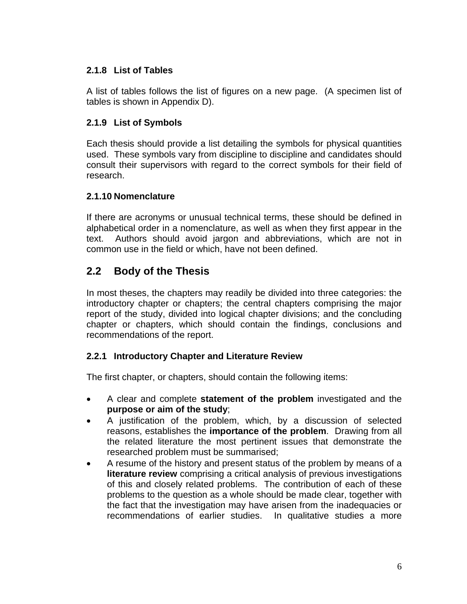## **2.1.8 List of Tables**

A list of tables follows the list of figures on a new page. (A specimen list of tables is shown in Appendix D).

## **2.1.9 List of Symbols**

Each thesis should provide a list detailing the symbols for physical quantities used. These symbols vary from discipline to discipline and candidates should consult their supervisors with regard to the correct symbols for their field of research.

## **2.1.10 Nomenclature**

If there are acronyms or unusual technical terms, these should be defined in alphabetical order in a nomenclature, as well as when they first appear in the text. Authors should avoid jargon and abbreviations, which are not in common use in the field or which, have not been defined.

## **2.2 Body of the Thesis**

In most theses, the chapters may readily be divided into three categories: the introductory chapter or chapters; the central chapters comprising the major report of the study, divided into logical chapter divisions; and the concluding chapter or chapters, which should contain the findings, conclusions and recommendations of the report.

## **2.2.1 Introductory Chapter and Literature Review**

The first chapter, or chapters, should contain the following items:

- A clear and complete **statement of the problem** investigated and the **purpose or aim of the study**;
- A justification of the problem, which, by a discussion of selected reasons, establishes the **importance of the problem**. Drawing from all the related literature the most pertinent issues that demonstrate the researched problem must be summarised;
- A resume of the history and present status of the problem by means of a **literature review** comprising a critical analysis of previous investigations of this and closely related problems. The contribution of each of these problems to the question as a whole should be made clear, together with the fact that the investigation may have arisen from the inadequacies or recommendations of earlier studies. In qualitative studies a more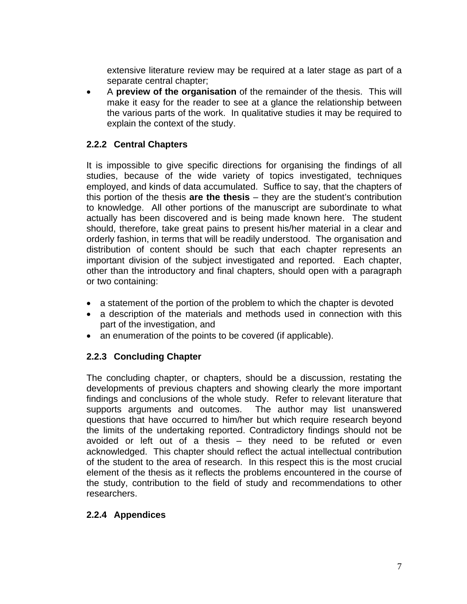extensive literature review may be required at a later stage as part of a separate central chapter;

• A **preview of the organisation** of the remainder of the thesis. This will make it easy for the reader to see at a glance the relationship between the various parts of the work. In qualitative studies it may be required to explain the context of the study.

## **2.2.2 Central Chapters**

It is impossible to give specific directions for organising the findings of all studies, because of the wide variety of topics investigated, techniques employed, and kinds of data accumulated. Suffice to say, that the chapters of this portion of the thesis **are the thesis** – they are the student's contribution to knowledge. All other portions of the manuscript are subordinate to what actually has been discovered and is being made known here. The student should, therefore, take great pains to present his/her material in a clear and orderly fashion, in terms that will be readily understood. The organisation and distribution of content should be such that each chapter represents an important division of the subject investigated and reported. Each chapter, other than the introductory and final chapters, should open with a paragraph or two containing:

- a statement of the portion of the problem to which the chapter is devoted
- a description of the materials and methods used in connection with this part of the investigation, and
- an enumeration of the points to be covered (if applicable).

## **2.2.3 Concluding Chapter**

The concluding chapter, or chapters, should be a discussion, restating the developments of previous chapters and showing clearly the more important findings and conclusions of the whole study. Refer to relevant literature that supports arguments and outcomes. The author may list unanswered questions that have occurred to him/her but which require research beyond the limits of the undertaking reported. Contradictory findings should not be avoided or left out of a thesis – they need to be refuted or even acknowledged. This chapter should reflect the actual intellectual contribution of the student to the area of research. In this respect this is the most crucial element of the thesis as it reflects the problems encountered in the course of the study, contribution to the field of study and recommendations to other researchers.

## **2.2.4 Appendices**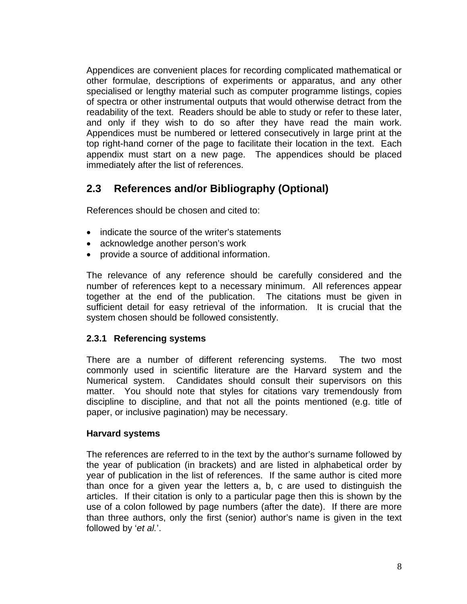Appendices are convenient places for recording complicated mathematical or other formulae, descriptions of experiments or apparatus, and any other specialised or lengthy material such as computer programme listings, copies of spectra or other instrumental outputs that would otherwise detract from the readability of the text. Readers should be able to study or refer to these later, and only if they wish to do so after they have read the main work. Appendices must be numbered or lettered consecutively in large print at the top right-hand corner of the page to facilitate their location in the text. Each appendix must start on a new page. The appendices should be placed immediately after the list of references.

## **2.3 References and/or Bibliography (Optional)**

References should be chosen and cited to:

- indicate the source of the writer's statements
- acknowledge another person's work
- provide a source of additional information.

The relevance of any reference should be carefully considered and the number of references kept to a necessary minimum. All references appear together at the end of the publication. The citations must be given in sufficient detail for easy retrieval of the information. It is crucial that the system chosen should be followed consistently.

## **2.3.1 Referencing systems**

There are a number of different referencing systems. The two most commonly used in scientific literature are the Harvard system and the Numerical system. Candidates should consult their supervisors on this matter. You should note that styles for citations vary tremendously from discipline to discipline, and that not all the points mentioned (e.g. title of paper, or inclusive pagination) may be necessary.

#### **Harvard systems**

The references are referred to in the text by the author's surname followed by the year of publication (in brackets) and are listed in alphabetical order by year of publication in the list of references. If the same author is cited more than once for a given year the letters a, b, c are used to distinguish the articles. If their citation is only to a particular page then this is shown by the use of a colon followed by page numbers (after the date). If there are more than three authors, only the first (senior) author's name is given in the text followed by '*et al.*'.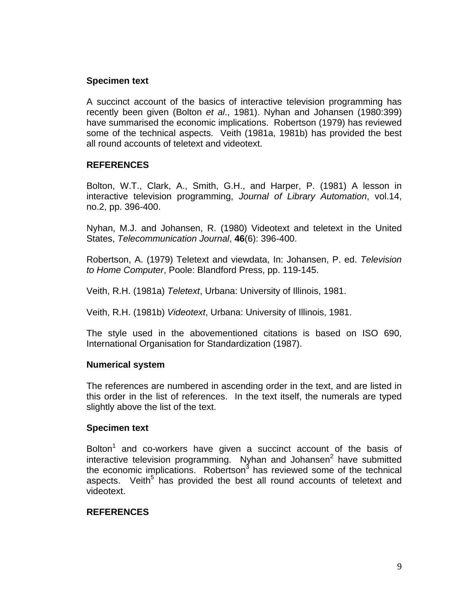#### **Specimen text**

A succinct account of the basics of interactive television programming has recently been given (Bolton *et al*., 1981). Nyhan and Johansen (1980:399) have summarised the economic implications. Robertson (1979) has reviewed some of the technical aspects. Veith (1981a, 1981b) has provided the best all round accounts of teletext and videotext.

#### **REFERENCES**

Bolton, W.T., Clark, A., Smith, G.H., and Harper, P. (1981) A lesson in interactive television programming, *Journal of Library Automation*, vol.14, no.2, pp. 396-400.

Nyhan, M.J. and Johansen, R. (1980) Videotext and teletext in the United States, *Telecommunication Journal*, **46**(6): 396-400.

Robertson, A. (1979) Teletext and viewdata, In: Johansen, P. ed. *Television to Home Computer*, Poole: Blandford Press, pp. 119-145.

Veith, R.H. (1981a) *Teletext*, Urbana: University of Illinois, 1981.

Veith, R.H. (1981b) *Videotext*, Urbana: University of Illinois, 1981.

The style used in the abovementioned citations is based on ISO 690, International Organisation for Standardization (1987).

#### **Numerical system**

The references are numbered in ascending order in the text, and are listed in this order in the list of references. In the text itself, the numerals are typed slightly above the list of the text.

#### **Specimen text**

Bolton<sup>1</sup> and co-workers have given a succinct account of the basis of interactive television programming. Nyhan and Johansen $^2$  have submitted the economic implications. Robertson<sup>3</sup> has reviewed some of the technical aspects. Veith<sup>5</sup> has provided the best all round accounts of teletext and videotext.

## **REFERENCES**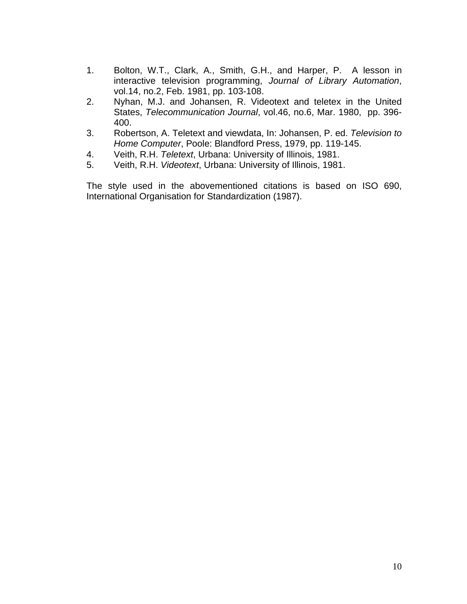- 1. Bolton, W.T., Clark, A., Smith, G.H., and Harper, P. A lesson in interactive television programming, *Journal of Library Automation*, vol.14, no.2, Feb. 1981, pp. 103-108.
- 2. Nyhan, M.J. and Johansen, R. Videotext and teletex in the United States, *Telecommunication Journal*, vol.46, no.6, Mar. 1980, pp. 396- 400.
- 3. Robertson, A. Teletext and viewdata, In: Johansen, P. ed. *Television to Home Computer*, Poole: Blandford Press, 1979, pp. 119-145.
- 4. Veith, R.H. *Teletext*, Urbana: University of Illinois, 1981.
- 5. Veith, R.H. *Videotext*, Urbana: University of Illinois, 1981.

The style used in the abovementioned citations is based on ISO 690, International Organisation for Standardization (1987).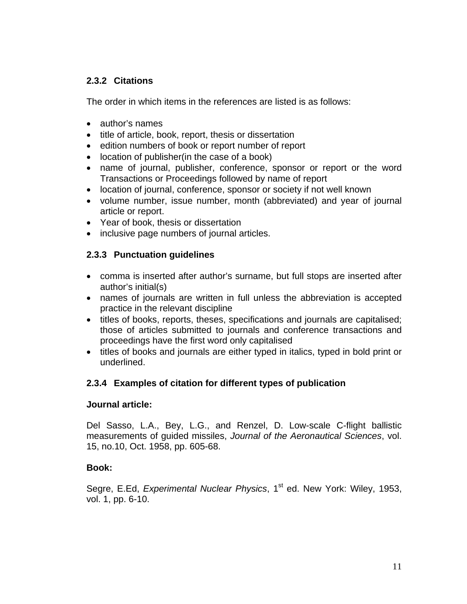## **2.3.2 Citations**

The order in which items in the references are listed is as follows:

- author's names
- title of article, book, report, thesis or dissertation
- edition numbers of book or report number of report
- location of publisher(in the case of a book)
- name of journal, publisher, conference, sponsor or report or the word Transactions or Proceedings followed by name of report
- location of journal, conference, sponsor or society if not well known
- volume number, issue number, month (abbreviated) and year of journal article or report.
- Year of book, thesis or dissertation
- inclusive page numbers of journal articles.

## **2.3.3 Punctuation guidelines**

- comma is inserted after author's surname, but full stops are inserted after author's initial(s)
- names of journals are written in full unless the abbreviation is accepted practice in the relevant discipline
- titles of books, reports, theses, specifications and journals are capitalised; those of articles submitted to journals and conference transactions and proceedings have the first word only capitalised
- titles of books and journals are either typed in italics, typed in bold print or underlined.

## **2.3.4 Examples of citation for different types of publication**

#### **Journal article:**

Del Sasso, L.A., Bey, L.G., and Renzel, D. Low-scale C-flight ballistic measurements of guided missiles, *Journal of the Aeronautical Sciences*, vol. 15, no.10, Oct. 1958, pp. 605-68.

#### **Book:**

Segre, E.Ed, *Experimental Nuclear Physics*, 1<sup>st</sup> ed. New York: Wiley, 1953, vol. 1, pp. 6-10.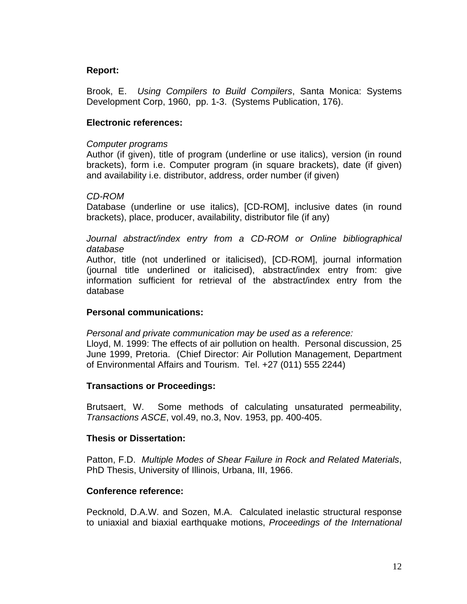#### **Report:**

Brook, E. *Using Compilers to Build Compilers*, Santa Monica: Systems Development Corp, 1960, pp. 1-3. (Systems Publication, 176).

#### **Electronic references:**

#### *Computer programs*

Author (if given), title of program (underline or use italics), version (in round brackets), form i.e. Computer program (in square brackets), date (if given) and availability i.e. distributor, address, order number (if given)

#### *CD-ROM*

Database (underline or use italics), [CD-ROM], inclusive dates (in round brackets), place, producer, availability, distributor file (if any)

Journal abstract/index entry from a CD-ROM or Online bibliographical *database* 

Author, title (not underlined or italicised), [CD-ROM], journal information (journal title underlined or italicised), abstract/index entry from: give information sufficient for retrieval of the abstract/index entry from the database

#### **Personal communications:**

*Personal and private communication may be used as a reference:* 

Lloyd, M. 1999: The effects of air pollution on health. Personal discussion, 25 June 1999, Pretoria. (Chief Director: Air Pollution Management, Department of Environmental Affairs and Tourism. Tel. +27 (011) 555 2244)

#### **Transactions or Proceedings:**

Brutsaert, W. Some methods of calculating unsaturated permeability, *Transactions ASCE*, vol.49, no.3, Nov. 1953, pp. 400-405.

#### **Thesis or Dissertation:**

Patton, F.D. *Multiple Modes of Shear Failure in Rock and Related Materials*, PhD Thesis, University of Illinois, Urbana, III, 1966.

#### **Conference reference:**

Pecknold, D.A.W. and Sozen, M.A. Calculated inelastic structural response to uniaxial and biaxial earthquake motions, *Proceedings of the International*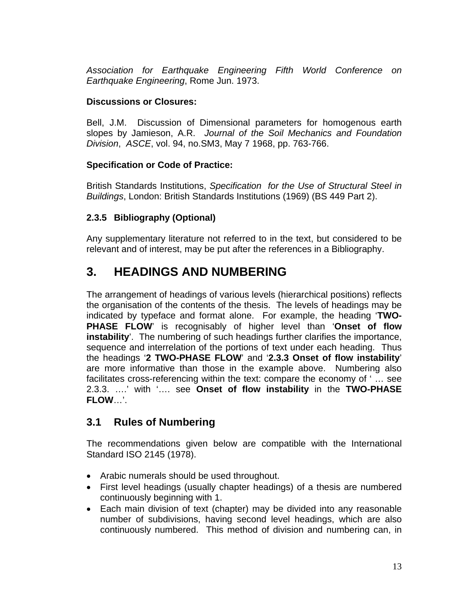*Association for Earthquake Engineering Fifth World Conference on Earthquake Engineering*, Rome Jun. 1973.

## **Discussions or Closures:**

Bell, J.M. Discussion of Dimensional parameters for homogenous earth slopes by Jamieson, A.R. *Journal of the Soil Mechanics and Foundation Division*, *ASCE*, vol. 94, no.SM3, May 7 1968, pp. 763-766.

## **Specification or Code of Practice:**

British Standards Institutions, *Specification for the Use of Structural Steel in Buildings*, London: British Standards Institutions (1969) (BS 449 Part 2).

## **2.3.5 Bibliography (Optional)**

Any supplementary literature not referred to in the text, but considered to be relevant and of interest, may be put after the references in a Bibliography.

# **3. HEADINGS AND NUMBERING**

The arrangement of headings of various levels (hierarchical positions) reflects the organisation of the contents of the thesis. The levels of headings may be indicated by typeface and format alone. For example, the heading '**TWO-PHASE FLOW**' is recognisably of higher level than '**Onset of flow instability**'. The numbering of such headings further clarifies the importance, sequence and interrelation of the portions of text under each heading. Thus the headings '**2 TWO-PHASE FLOW**' and '**2.3.3 Onset of flow instability**' are more informative than those in the example above. Numbering also facilitates cross-referencing within the text: compare the economy of ' … see 2.3.3. ….' with '…. see **Onset of flow instability** in the **TWO-PHASE FLOW**…'.

## **3.1 Rules of Numbering**

The recommendations given below are compatible with the International Standard ISO 2145 (1978).

- Arabic numerals should be used throughout.
- First level headings (usually chapter headings) of a thesis are numbered continuously beginning with 1.
- Each main division of text (chapter) may be divided into any reasonable number of subdivisions, having second level headings, which are also continuously numbered. This method of division and numbering can, in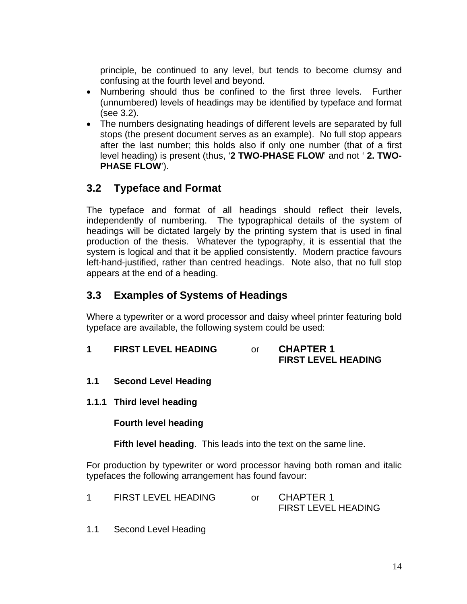principle, be continued to any level, but tends to become clumsy and confusing at the fourth level and beyond.

- Numbering should thus be confined to the first three levels. Further (unnumbered) levels of headings may be identified by typeface and format (see 3.2).
- The numbers designating headings of different levels are separated by full stops (the present document serves as an example). No full stop appears after the last number; this holds also if only one number (that of a first level heading) is present (thus, '**2 TWO-PHASE FLOW**' and not ' **2. TWO-PHASE FLOW**').

## **3.2 Typeface and Format**

The typeface and format of all headings should reflect their levels, independently of numbering. The typographical details of the system of headings will be dictated largely by the printing system that is used in final production of the thesis. Whatever the typography, it is essential that the system is logical and that it be applied consistently. Modern practice favours left-hand-justified, rather than centred headings. Note also, that no full stop appears at the end of a heading.

## **3.3 Examples of Systems of Headings**

Where a typewriter or a word processor and daisy wheel printer featuring bold typeface are available, the following system could be used:

**1 FIRST LEVEL HEADING** or **CHAPTER 1**

# **FIRST LEVEL HEADING**

- **1.1 Second Level Heading**
- **1.1.1 Third level heading**

**Fourth level heading** 

**Fifth level heading**. This leads into the text on the same line.

For production by typewriter or word processor having both roman and italic typefaces the following arrangement has found favour:

- 1 FIRST LEVEL HEADING or CHAPTER 1 FIRST LEVEL HEADING
- 1.1 Second Level Heading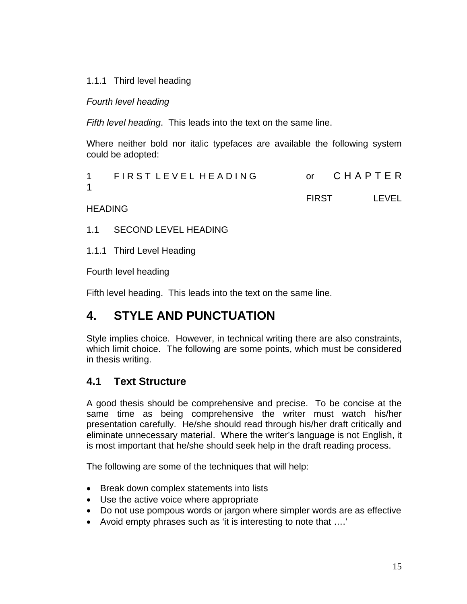## 1.1.1 Third level heading

#### *Fourth level heading*

*Fifth level heading*. This leads into the text on the same line.

Where neither bold nor italic typefaces are available the following system could be adopted:

| 1 FIRST LEVEL HEADING |              | or CHAPTER |
|-----------------------|--------------|------------|
|                       | <b>FIRST</b> | LEVEL      |

#### **HEADING**

1.1 SECOND LEVEL HEADING

1.1.1 Third Level Heading

Fourth level heading

Fifth level heading. This leads into the text on the same line.

## **4. STYLE AND PUNCTUATION**

Style implies choice. However, in technical writing there are also constraints, which limit choice. The following are some points, which must be considered in thesis writing.

## **4.1 Text Structure**

A good thesis should be comprehensive and precise. To be concise at the same time as being comprehensive the writer must watch his/her presentation carefully. He/she should read through his/her draft critically and eliminate unnecessary material. Where the writer's language is not English, it is most important that he/she should seek help in the draft reading process.

The following are some of the techniques that will help:

- Break down complex statements into lists
- Use the active voice where appropriate
- Do not use pompous words or jargon where simpler words are as effective
- Avoid empty phrases such as 'it is interesting to note that ….'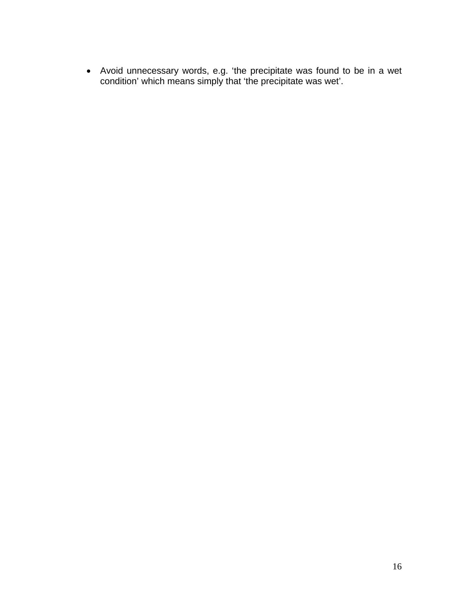• Avoid unnecessary words, e.g. 'the precipitate was found to be in a wet condition' which means simply that 'the precipitate was wet'.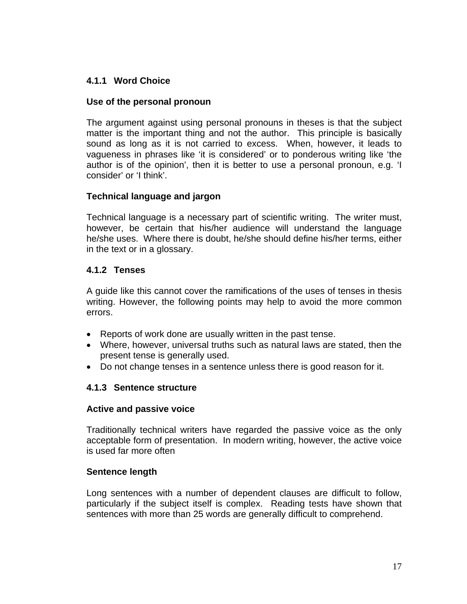## **4.1.1 Word Choice**

#### **Use of the personal pronoun**

The argument against using personal pronouns in theses is that the subject matter is the important thing and not the author. This principle is basically sound as long as it is not carried to excess. When, however, it leads to vagueness in phrases like 'it is considered' or to ponderous writing like 'the author is of the opinion', then it is better to use a personal pronoun, e.g. 'I consider' or 'I think'.

#### **Technical language and jargon**

Technical language is a necessary part of scientific writing. The writer must, however, be certain that his/her audience will understand the language he/she uses. Where there is doubt, he/she should define his/her terms, either in the text or in a glossary.

#### **4.1.2 Tenses**

A guide like this cannot cover the ramifications of the uses of tenses in thesis writing. However, the following points may help to avoid the more common errors.

- Reports of work done are usually written in the past tense.
- Where, however, universal truths such as natural laws are stated, then the present tense is generally used.
- Do not change tenses in a sentence unless there is good reason for it.

## **4.1.3 Sentence structure**

#### **Active and passive voice**

Traditionally technical writers have regarded the passive voice as the only acceptable form of presentation. In modern writing, however, the active voice is used far more often

#### **Sentence length**

Long sentences with a number of dependent clauses are difficult to follow, particularly if the subject itself is complex. Reading tests have shown that sentences with more than 25 words are generally difficult to comprehend.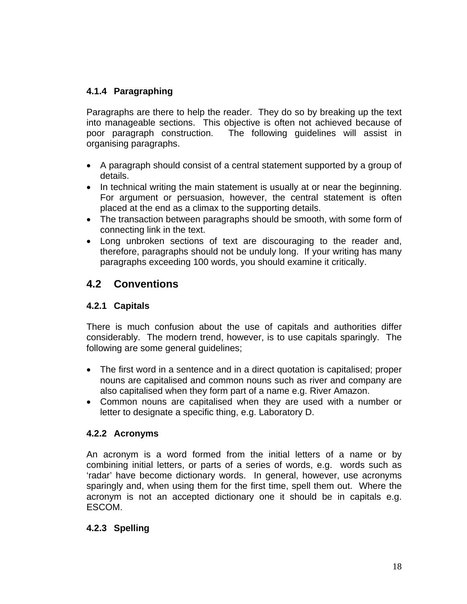## **4.1.4 Paragraphing**

Paragraphs are there to help the reader. They do so by breaking up the text into manageable sections. This objective is often not achieved because of poor paragraph construction. The following guidelines will assist in organising paragraphs.

- A paragraph should consist of a central statement supported by a group of details.
- In technical writing the main statement is usually at or near the beginning. For argument or persuasion, however, the central statement is often placed at the end as a climax to the supporting details.
- The transaction between paragraphs should be smooth, with some form of connecting link in the text.
- Long unbroken sections of text are discouraging to the reader and, therefore, paragraphs should not be unduly long. If your writing has many paragraphs exceeding 100 words, you should examine it critically.

## **4.2 Conventions**

## **4.2.1 Capitals**

There is much confusion about the use of capitals and authorities differ considerably. The modern trend, however, is to use capitals sparingly. The following are some general guidelines;

- The first word in a sentence and in a direct quotation is capitalised; proper nouns are capitalised and common nouns such as river and company are also capitalised when they form part of a name e.g. River Amazon.
- Common nouns are capitalised when they are used with a number or letter to designate a specific thing, e.g. Laboratory D.

## **4.2.2 Acronyms**

An acronym is a word formed from the initial letters of a name or by combining initial letters, or parts of a series of words, e.g. words such as 'radar' have become dictionary words. In general, however, use acronyms sparingly and, when using them for the first time, spell them out. Where the acronym is not an accepted dictionary one it should be in capitals e.g. ESCOM.

## **4.2.3 Spelling**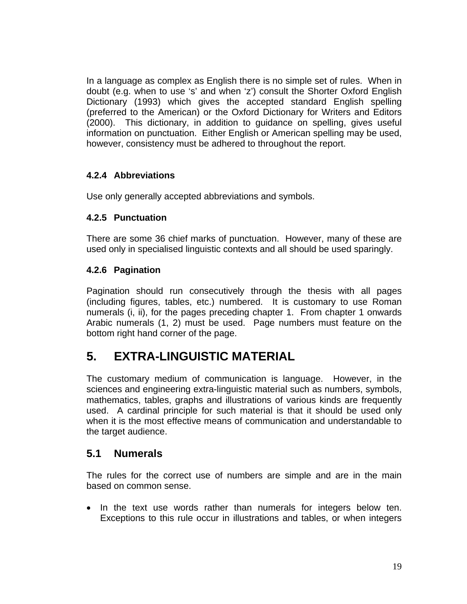In a language as complex as English there is no simple set of rules. When in doubt (e.g. when to use 's' and when 'z') consult the Shorter Oxford English Dictionary (1993) which gives the accepted standard English spelling (preferred to the American) or the Oxford Dictionary for Writers and Editors (2000). This dictionary, in addition to guidance on spelling, gives useful information on punctuation. Either English or American spelling may be used, however, consistency must be adhered to throughout the report.

## **4.2.4 Abbreviations**

Use only generally accepted abbreviations and symbols.

## **4.2.5 Punctuation**

There are some 36 chief marks of punctuation. However, many of these are used only in specialised linguistic contexts and all should be used sparingly.

## **4.2.6 Pagination**

Pagination should run consecutively through the thesis with all pages (including figures, tables, etc.) numbered. It is customary to use Roman numerals (i, ii), for the pages preceding chapter 1. From chapter 1 onwards Arabic numerals (1, 2) must be used. Page numbers must feature on the bottom right hand corner of the page.

# **5. EXTRA-LINGUISTIC MATERIAL**

The customary medium of communication is language. However, in the sciences and engineering extra-linguistic material such as numbers, symbols, mathematics, tables, graphs and illustrations of various kinds are frequently used. A cardinal principle for such material is that it should be used only when it is the most effective means of communication and understandable to the target audience.

## **5.1 Numerals**

The rules for the correct use of numbers are simple and are in the main based on common sense.

• In the text use words rather than numerals for integers below ten. Exceptions to this rule occur in illustrations and tables, or when integers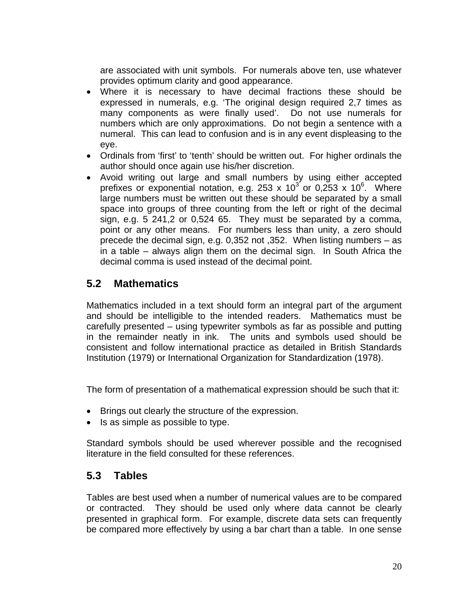are associated with unit symbols. For numerals above ten, use whatever provides optimum clarity and good appearance.

- Where it is necessary to have decimal fractions these should be expressed in numerals, e.g. 'The original design required 2,7 times as many components as were finally used'. Do not use numerals for numbers which are only approximations. Do not begin a sentence with a numeral. This can lead to confusion and is in any event displeasing to the eye.
- Ordinals from 'first' to 'tenth' should be written out. For higher ordinals the author should once again use his/her discretion.
- Avoid writing out large and small numbers by using either accepted prefixes or exponential notation, e.g. 253 x 10<sup>3</sup> or 0,253 x 10<sup>6</sup>. Where large numbers must be written out these should be separated by a small space into groups of three counting from the left or right of the decimal sign, e.g. 5 241,2 or 0,524 65. They must be separated by a comma, point or any other means. For numbers less than unity, a zero should precede the decimal sign, e.g. 0,352 not ,352. When listing numbers – as in a table – always align them on the decimal sign. In South Africa the decimal comma is used instead of the decimal point.

## **5.2 Mathematics**

Mathematics included in a text should form an integral part of the argument and should be intelligible to the intended readers. Mathematics must be carefully presented – using typewriter symbols as far as possible and putting in the remainder neatly in ink. The units and symbols used should be consistent and follow international practice as detailed in British Standards Institution (1979) or International Organization for Standardization (1978).

The form of presentation of a mathematical expression should be such that it:

- Brings out clearly the structure of the expression.
- Is as simple as possible to type.

Standard symbols should be used wherever possible and the recognised literature in the field consulted for these references.

## **5.3 Tables**

Tables are best used when a number of numerical values are to be compared or contracted. They should be used only where data cannot be clearly presented in graphical form. For example, discrete data sets can frequently be compared more effectively by using a bar chart than a table. In one sense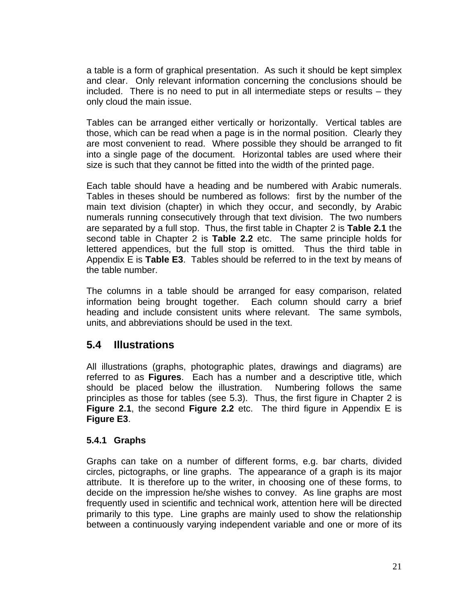a table is a form of graphical presentation. As such it should be kept simplex and clear. Only relevant information concerning the conclusions should be included. There is no need to put in all intermediate steps or results – they only cloud the main issue.

Tables can be arranged either vertically or horizontally. Vertical tables are those, which can be read when a page is in the normal position. Clearly they are most convenient to read. Where possible they should be arranged to fit into a single page of the document. Horizontal tables are used where their size is such that they cannot be fitted into the width of the printed page.

Each table should have a heading and be numbered with Arabic numerals. Tables in theses should be numbered as follows: first by the number of the main text division (chapter) in which they occur, and secondly, by Arabic numerals running consecutively through that text division. The two numbers are separated by a full stop. Thus, the first table in Chapter 2 is **Table 2.1** the second table in Chapter 2 is **Table 2.2** etc. The same principle holds for lettered appendices, but the full stop is omitted. Thus the third table in Appendix E is **Table E3**. Tables should be referred to in the text by means of the table number.

The columns in a table should be arranged for easy comparison, related information being brought together. Each column should carry a brief heading and include consistent units where relevant. The same symbols, units, and abbreviations should be used in the text.

## **5.4 Illustrations**

All illustrations (graphs, photographic plates, drawings and diagrams) are referred to as **Figures**. Each has a number and a descriptive title, which should be placed below the illustration. Numbering follows the same principles as those for tables (see 5.3). Thus, the first figure in Chapter 2 is **Figure 2.1**, the second **Figure 2.2** etc. The third figure in Appendix E is **Figure E3**.

## **5.4.1 Graphs**

Graphs can take on a number of different forms, e.g. bar charts, divided circles, pictographs, or line graphs. The appearance of a graph is its major attribute. It is therefore up to the writer, in choosing one of these forms, to decide on the impression he/she wishes to convey. As line graphs are most frequently used in scientific and technical work, attention here will be directed primarily to this type. Line graphs are mainly used to show the relationship between a continuously varying independent variable and one or more of its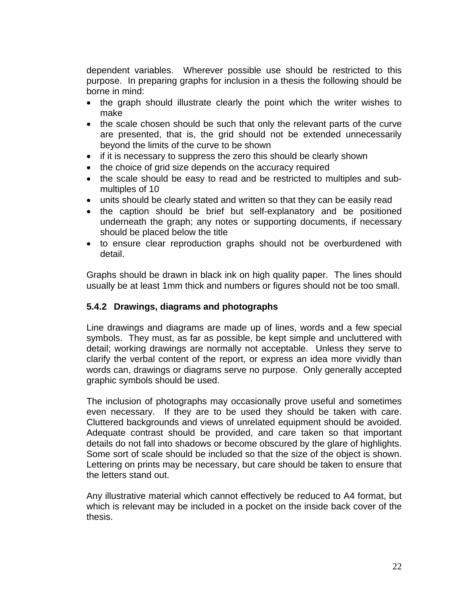dependent variables. Wherever possible use should be restricted to this purpose. In preparing graphs for inclusion in a thesis the following should be borne in mind:

- the graph should illustrate clearly the point which the writer wishes to make
- the scale chosen should be such that only the relevant parts of the curve are presented, that is, the grid should not be extended unnecessarily beyond the limits of the curve to be shown
- if it is necessary to suppress the zero this should be clearly shown
- the choice of grid size depends on the accuracy required
- the scale should be easy to read and be restricted to multiples and submultiples of 10
- units should be clearly stated and written so that they can be easily read
- the caption should be brief but self-explanatory and be positioned underneath the graph; any notes or supporting documents, if necessary should be placed below the title
- to ensure clear reproduction graphs should not be overburdened with detail.

Graphs should be drawn in black ink on high quality paper. The lines should usually be at least 1mm thick and numbers or figures should not be too small.

## **5.4.2 Drawings, diagrams and photographs**

Line drawings and diagrams are made up of lines, words and a few special symbols. They must, as far as possible, be kept simple and uncluttered with detail; working drawings are normally not acceptable. Unless they serve to clarify the verbal content of the report, or express an idea more vividly than words can, drawings or diagrams serve no purpose. Only generally accepted graphic symbols should be used.

The inclusion of photographs may occasionally prove useful and sometimes even necessary. If they are to be used they should be taken with care. Cluttered backgrounds and views of unrelated equipment should be avoided. Adequate contrast should be provided, and care taken so that important details do not fall into shadows or become obscured by the glare of highlights. Some sort of scale should be included so that the size of the object is shown. Lettering on prints may be necessary, but care should be taken to ensure that the letters stand out.

Any illustrative material which cannot effectively be reduced to A4 format, but which is relevant may be included in a pocket on the inside back cover of the thesis.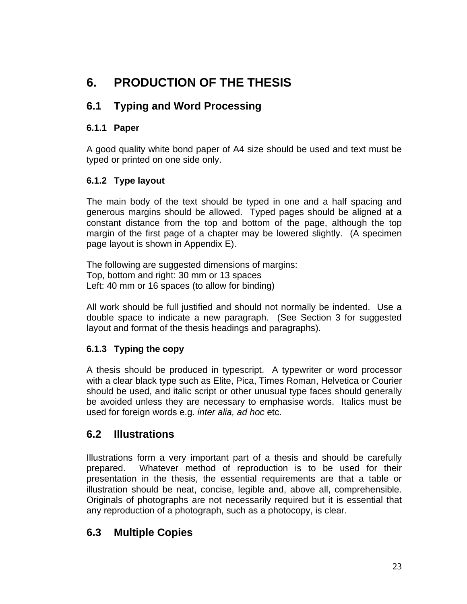# **6. PRODUCTION OF THE THESIS**

## **6.1 Typing and Word Processing**

## **6.1.1 Paper**

A good quality white bond paper of A4 size should be used and text must be typed or printed on one side only.

## **6.1.2 Type layout**

The main body of the text should be typed in one and a half spacing and generous margins should be allowed. Typed pages should be aligned at a constant distance from the top and bottom of the page, although the top margin of the first page of a chapter may be lowered slightly. (A specimen page layout is shown in Appendix E).

The following are suggested dimensions of margins: Top, bottom and right: 30 mm or 13 spaces Left: 40 mm or 16 spaces (to allow for binding)

All work should be full justified and should not normally be indented. Use a double space to indicate a new paragraph. (See Section 3 for suggested layout and format of the thesis headings and paragraphs).

## **6.1.3 Typing the copy**

A thesis should be produced in typescript. A typewriter or word processor with a clear black type such as Elite, Pica, Times Roman, Helvetica or Courier should be used, and italic script or other unusual type faces should generally be avoided unless they are necessary to emphasise words. Italics must be used for foreign words e.g. *inter alia, ad hoc* etc.

## **6.2 Illustrations**

Illustrations form a very important part of a thesis and should be carefully prepared. Whatever method of reproduction is to be used for their presentation in the thesis, the essential requirements are that a table or illustration should be neat, concise, legible and, above all, comprehensible. Originals of photographs are not necessarily required but it is essential that any reproduction of a photograph, such as a photocopy, is clear.

## **6.3 Multiple Copies**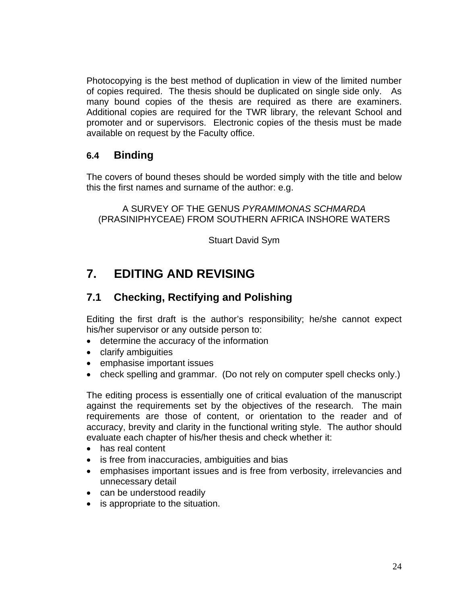Photocopying is the best method of duplication in view of the limited number of copies required. The thesis should be duplicated on single side only. As many bound copies of the thesis are required as there are examiners. Additional copies are required for the TWR library, the relevant School and promoter and or supervisors. Electronic copies of the thesis must be made available on request by the Faculty office.

## **6.4 Binding**

The covers of bound theses should be worded simply with the title and below this the first names and surname of the author: e.g.

A SURVEY OF THE GENUS *PYRAMIMONAS SCHMARDA* (PRASINIPHYCEAE) FROM SOUTHERN AFRICA INSHORE WATERS

Stuart David Sym

# **7. EDITING AND REVISING**

## **7.1 Checking, Rectifying and Polishing**

Editing the first draft is the author's responsibility; he/she cannot expect his/her supervisor or any outside person to:

- determine the accuracy of the information
- clarify ambiguities
- emphasise important issues
- check spelling and grammar. (Do not rely on computer spell checks only.)

The editing process is essentially one of critical evaluation of the manuscript against the requirements set by the objectives of the research. The main requirements are those of content, or orientation to the reader and of accuracy, brevity and clarity in the functional writing style. The author should evaluate each chapter of his/her thesis and check whether it:

- has real content
- is free from inaccuracies, ambiguities and bias
- emphasises important issues and is free from verbosity, irrelevancies and unnecessary detail
- can be understood readily
- is appropriate to the situation.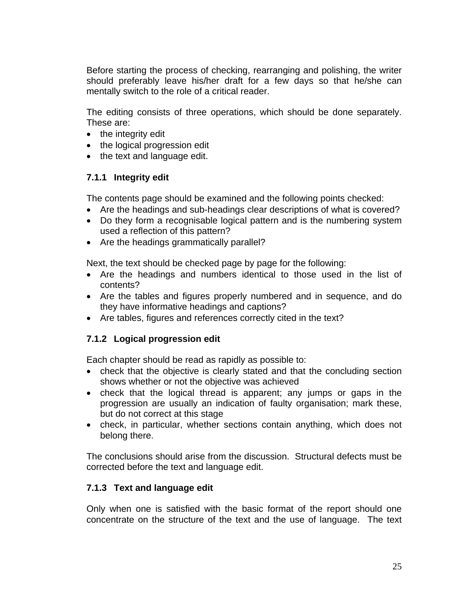Before starting the process of checking, rearranging and polishing, the writer should preferably leave his/her draft for a few days so that he/she can mentally switch to the role of a critical reader.

The editing consists of three operations, which should be done separately. These are:

- the integrity edit
- the logical progression edit
- the text and language edit.

## **7.1.1 Integrity edit**

The contents page should be examined and the following points checked:

- Are the headings and sub-headings clear descriptions of what is covered?
- Do they form a recognisable logical pattern and is the numbering system used a reflection of this pattern?
- Are the headings grammatically parallel?

Next, the text should be checked page by page for the following:

- Are the headings and numbers identical to those used in the list of contents?
- Are the tables and figures properly numbered and in sequence, and do they have informative headings and captions?
- Are tables, figures and references correctly cited in the text?

## **7.1.2 Logical progression edit**

Each chapter should be read as rapidly as possible to:

- check that the objective is clearly stated and that the concluding section shows whether or not the objective was achieved
- check that the logical thread is apparent; any jumps or gaps in the progression are usually an indication of faulty organisation; mark these, but do not correct at this stage
- check, in particular, whether sections contain anything, which does not belong there.

The conclusions should arise from the discussion. Structural defects must be corrected before the text and language edit.

## **7.1.3 Text and language edit**

Only when one is satisfied with the basic format of the report should one concentrate on the structure of the text and the use of language. The text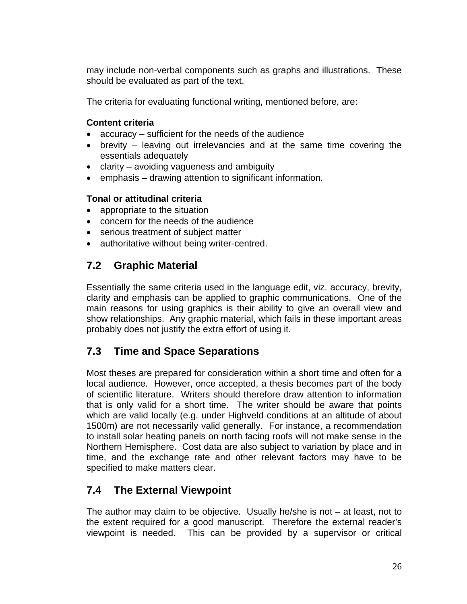may include non-verbal components such as graphs and illustrations. These should be evaluated as part of the text.

The criteria for evaluating functional writing, mentioned before, are:

#### **Content criteria**

- accuracy sufficient for the needs of the audience
- brevity leaving out irrelevancies and at the same time covering the essentials adequately
- clarity avoiding vagueness and ambiguity
- emphasis drawing attention to significant information.

#### **Tonal or attitudinal criteria**

- appropriate to the situation
- concern for the needs of the audience
- serious treatment of subject matter
- authoritative without being writer-centred.

## **7.2 Graphic Material**

Essentially the same criteria used in the language edit, viz. accuracy, brevity, clarity and emphasis can be applied to graphic communications. One of the main reasons for using graphics is their ability to give an overall view and show relationships. Any graphic material, which fails in these important areas probably does not justify the extra effort of using it.

## **7.3 Time and Space Separations**

Most theses are prepared for consideration within a short time and often for a local audience. However, once accepted, a thesis becomes part of the body of scientific literature. Writers should therefore draw attention to information that is only valid for a short time. The writer should be aware that points which are valid locally (e.g. under Highveld conditions at an altitude of about 1500m) are not necessarily valid generally. For instance, a recommendation to install solar heating panels on north facing roofs will not make sense in the Northern Hemisphere. Cost data are also subject to variation by place and in time, and the exchange rate and other relevant factors may have to be specified to make matters clear.

## **7.4 The External Viewpoint**

The author may claim to be objective. Usually he/she is not  $-$  at least, not to the extent required for a good manuscript. Therefore the external reader's viewpoint is needed. This can be provided by a supervisor or critical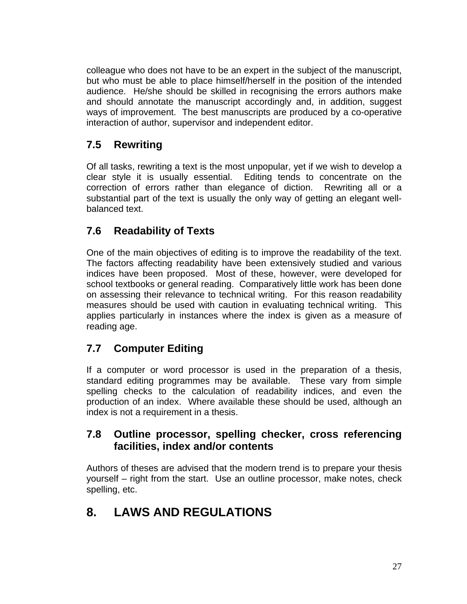colleague who does not have to be an expert in the subject of the manuscript, but who must be able to place himself/herself in the position of the intended audience. He/she should be skilled in recognising the errors authors make and should annotate the manuscript accordingly and, in addition, suggest ways of improvement. The best manuscripts are produced by a co-operative interaction of author, supervisor and independent editor.

## **7.5 Rewriting**

Of all tasks, rewriting a text is the most unpopular, yet if we wish to develop a clear style it is usually essential. Editing tends to concentrate on the correction of errors rather than elegance of diction. Rewriting all or a substantial part of the text is usually the only way of getting an elegant wellbalanced text.

## **7.6 Readability of Texts**

One of the main objectives of editing is to improve the readability of the text. The factors affecting readability have been extensively studied and various indices have been proposed. Most of these, however, were developed for school textbooks or general reading. Comparatively little work has been done on assessing their relevance to technical writing. For this reason readability measures should be used with caution in evaluating technical writing. This applies particularly in instances where the index is given as a measure of reading age.

## **7.7 Computer Editing**

If a computer or word processor is used in the preparation of a thesis, standard editing programmes may be available. These vary from simple spelling checks to the calculation of readability indices, and even the production of an index. Where available these should be used, although an index is not a requirement in a thesis.

## **7.8 Outline processor, spelling checker, cross referencing facilities, index and/or contents**

Authors of theses are advised that the modern trend is to prepare your thesis yourself – right from the start. Use an outline processor, make notes, check spelling, etc.

# **8. LAWS AND REGULATIONS**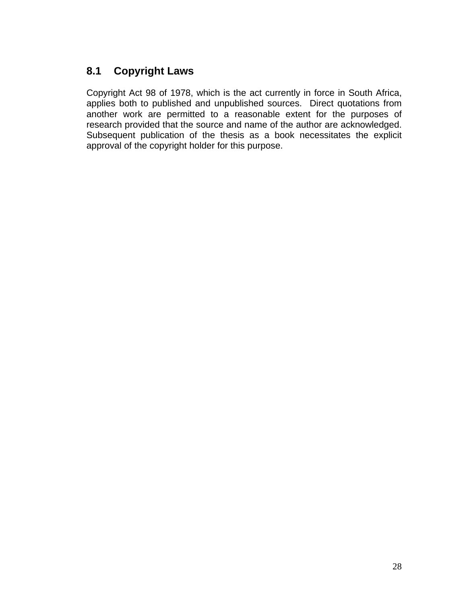## **8.1 Copyright Laws**

Copyright Act 98 of 1978, which is the act currently in force in South Africa, applies both to published and unpublished sources. Direct quotations from another work are permitted to a reasonable extent for the purposes of research provided that the source and name of the author are acknowledged. Subsequent publication of the thesis as a book necessitates the explicit approval of the copyright holder for this purpose.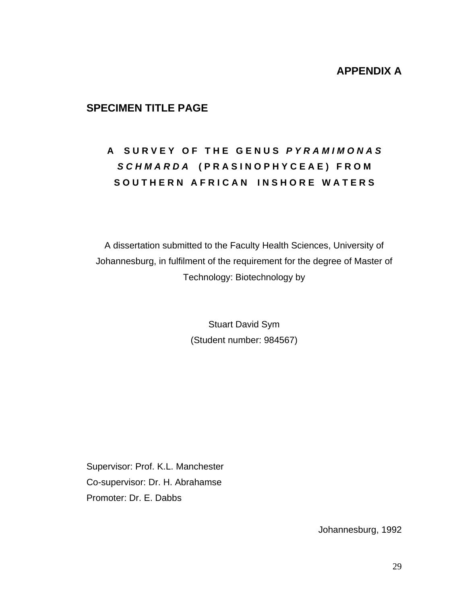## **APPENDIX A**

## **SPECIMEN TITLE PAGE**

# **A S U R V E Y O F T H E G E N U S** *P Y R A M I M O N A S S C H M A R D A* **( P R A S I N O P H Y C E A E ) F R O M**  SOUTHERN AFRICAN INSHORE WATERS

A dissertation submitted to the Faculty Health Sciences, University of Johannesburg, in fulfilment of the requirement for the degree of Master of Technology: Biotechnology by

> Stuart David Sym (Student number: 984567)

Supervisor: Prof. K.L. Manchester Co-supervisor: Dr. H. Abrahamse Promoter: Dr. E. Dabbs

Johannesburg, 1992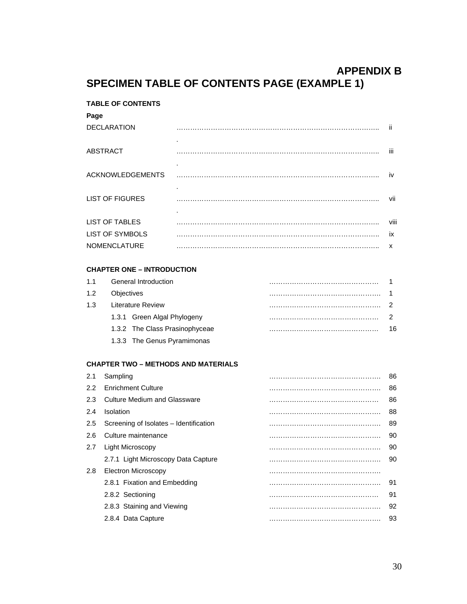## **APPENDIX B SPECIMEN TABLE OF CONTENTS PAGE (EXAMPLE 1)**

#### **TABLE OF CONTENTS**

## **Page** DECLARATION …………………………………………………………………………….. ii . ABSTRACT …………………………………………………………………………….. iii . ACKNOWLEDGEMENTS …………………………………………………………………………….. . iv LIST OF FIGURES …………………………………………………………………………….. vii . LIST OF TABLES …………………………………………………………………………….. viii LIST OF SYMBOLS …………………………………………………………………………….. ix NOMENCLATURE …………………………………………………………………………….. x

#### **CHAPTER ONE – INTRODUCTION**

| 11  | General Introduction           |    |  |
|-----|--------------------------------|----|--|
| 1.2 | <b>Objectives</b>              |    |  |
| 1.3 | Literature Review              |    |  |
|     | 1.3.1 Green Algal Phylogeny    |    |  |
|     | 1.3.2 The Class Prasinophyceae | 16 |  |
|     | 1.3.3 The Genus Pyramimonas    |    |  |

#### **CHAPTER TWO – METHODS AND MATERIALS**

| 2.1 | Sampling                               | 86 |
|-----|----------------------------------------|----|
| 2.2 | <b>Enrichment Culture</b>              | 86 |
| 2.3 | <b>Culture Medium and Glassware</b>    | 86 |
| 2.4 | Isolation                              | 88 |
| 2.5 | Screening of Isolates - Identification | 89 |
| 2.6 | Culture maintenance                    | 90 |
| 2.7 | Light Microscopy                       | 90 |
|     | 2.7.1 Light Microscopy Data Capture    | 90 |
| 2.8 | Electron Microscopy                    |    |
|     | 2.8.1 Fixation and Embedding           | 91 |
|     | 2.8.2 Sectioning                       | 91 |
|     | 2.8.3 Staining and Viewing             | 92 |
|     | 2.8.4 Data Capture                     | 93 |
|     |                                        |    |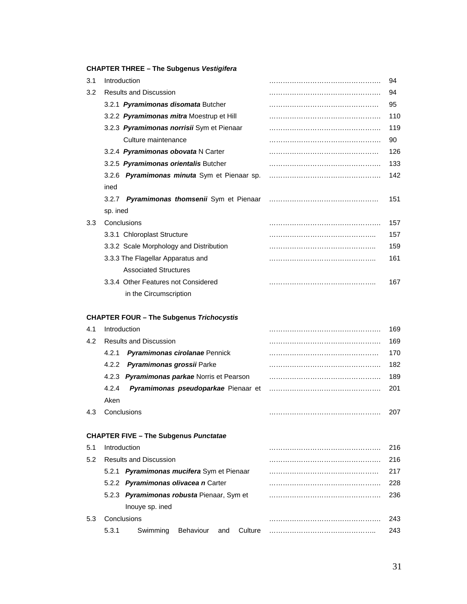#### **CHAPTER THREE – The Subgenus** *Vestigifera*

| 3.1 | Introduction                                    | 94   |
|-----|-------------------------------------------------|------|
| 3.2 | <b>Results and Discussion</b>                   | 94   |
|     | 3.2.1 Pyramimonas disomata Butcher              | 95   |
|     | 3.2.2 Pyramimonas mitra Moestrup et Hill        | 110  |
|     | 3.2.3 Pyramimonas norrisii Sym et Pienaar       | 119  |
|     | Culture maintenance                             | 90   |
|     | 3.2.4 Pyramimonas obovata N Carter              | 126  |
|     | 3.2.5 Pyramimonas orientalis Butcher            | 133  |
|     | 3.2.6 Pyramimonas minuta Sym et Pienaar sp.     | 142  |
|     | ined                                            |      |
|     | 3.2.7 Pyramimonas thomsenii Sym et Pienaar      | 151  |
|     | sp. ined                                        |      |
| 3.3 | Conclusions                                     | 157  |
|     | 3.3.1 Chloroplast Structure                     | 157  |
|     | 3.3.2 Scale Morphology and Distribution         | 159  |
|     | 3.3.3 The Flagellar Apparatus and               | 161  |
|     | <b>Associated Structures</b>                    |      |
|     | 3.3.4 Other Features not Considered             | 167  |
|     | in the Circumscription                          |      |
|     | <b>CHAPTER FOUR - The Subgenus Trichocystis</b> |      |
| 4.1 | Introduction                                    | 169. |
| 4.2 | <b>Results and Discussion</b>                   | 169  |
|     | Pyramimonas cirolanae Pennick<br>4.2.1          | 170  |
|     | Pyramimonas grossii Parke<br>4.2.2              | 182  |
|     | 4.2.3 Pyramimonas parkae Norris et Pearson      | 189  |
|     | 4.2.4<br>Pyramimonas pseudoparkae Pienaar et    | 201  |

Aken 4.3 Conclusions …………………………………………. 207

#### **CHAPTER FIVE – The Subgenus** *Punctatae*

| 5.1 |       | Introduction                              |           |     |         | 216  |
|-----|-------|-------------------------------------------|-----------|-----|---------|------|
| 5.2 |       | <b>Results and Discussion</b>             |           |     |         | 216  |
|     |       | 5.2.1 Pyramimonas mucifera Sym et Pienaar |           |     |         | 217  |
|     |       | 5.2.2 Pyramimonas olivacea n Carter       |           |     |         | 228. |
|     |       | 5.2.3 Pyramimonas robusta Pienaar, Sym et |           |     |         | 236. |
|     |       | Inouve sp. ined                           |           |     |         |      |
| 5.3 |       | Conclusions                               |           |     |         | 243. |
|     | 5.3.1 | Swimming                                  | Behaviour | and | Culture | 243  |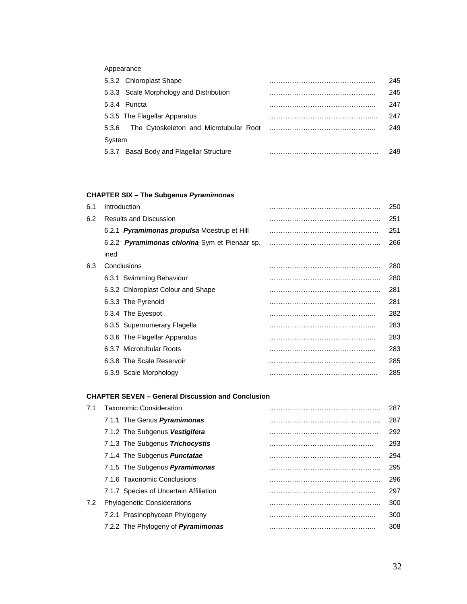#### Appearance

|        | 5.3.2 Chloroplast Shape                  | 245  |
|--------|------------------------------------------|------|
|        | 5.3.3 Scale Morphology and Distribution  | 245  |
|        | 5.3.4 Puncta                             | 247  |
|        | 5.3.5 The Flagellar Apparatus            | 247  |
| 5.3.6  | The Cytoskeleton and Microtubular Root   | 249. |
| System |                                          |      |
|        | 5.3.7 Basal Body and Flagellar Structure | 249. |

#### **CHAPTER SIX – The Subgenus** *Pyramimonas*

| 6.1 | Introduction                                  | 250 |
|-----|-----------------------------------------------|-----|
| 6.2 | <b>Results and Discussion</b>                 | 251 |
|     | 6.2.1 Pyramimonas propulsa Moestrup et Hill   | 251 |
|     | 6.2.2 Pyramimonas chlorina Sym et Pienaar sp. | 266 |
|     | ined                                          |     |
| 6.3 | Conclusions                                   | 280 |
|     | 6.3.1 Swimming Behaviour                      | 280 |
|     | 6.3.2 Chloroplast Colour and Shape            | 281 |
|     | 6.3.3 The Pyrenoid                            | 281 |
|     | 6.3.4 The Eyespot                             | 282 |
|     | 6.3.5 Supernumerary Flagella                  | 283 |
|     | 6.3.6 The Flagellar Apparatus                 | 283 |
|     | 6.3.7 Microtubular Roots                      | 283 |
|     | 6.3.8 The Scale Reservoir                     | 285 |
|     | 6.3.9 Scale Morphology                        | 285 |

#### **CHAPTER SEVEN – General Discussion and Conclusion**

| 7.1 | <b>Taxonomic Consideration</b>            | 287 |
|-----|-------------------------------------------|-----|
|     | 7.1.1 The Genus <b>Pyramimonas</b>        | 287 |
|     | 7.1.2 The Subgenus Vestigifera            | 292 |
|     | 7.1.3 The Subgenus Trichocystis           | 293 |
|     | 7.1.4 The Subgenus Punctatae              | 294 |
|     | 7.1.5 The Subgenus Pyramimonas            | 295 |
|     | 7.1.6 Taxonomic Conclusions               | 296 |
|     | 7.1.7 Species of Uncertain Affiliation    | 297 |
| 7.2 | <b>Phylogenetic Considerations</b>        | 300 |
|     | 7.2.1 Prasinophycean Phylogeny            | 300 |
|     | 7.2.2 The Phylogeny of <b>Pyramimonas</b> | 308 |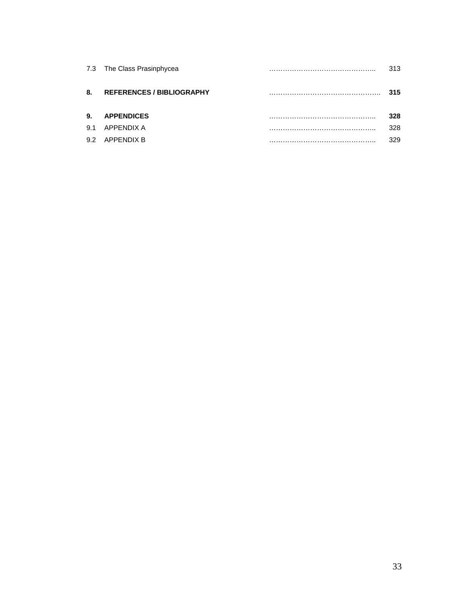|     | 7.3 The Class Prasinphycea       | 313. |
|-----|----------------------------------|------|
| 8.  | <b>REFERENCES / BIBLIOGRAPHY</b> | 315  |
| 9.  | <b>APPENDICES</b>                | 328  |
| 91  | APPENDIX A                       | 328  |
| 9.2 | APPENDIX B                       | 329  |
|     |                                  |      |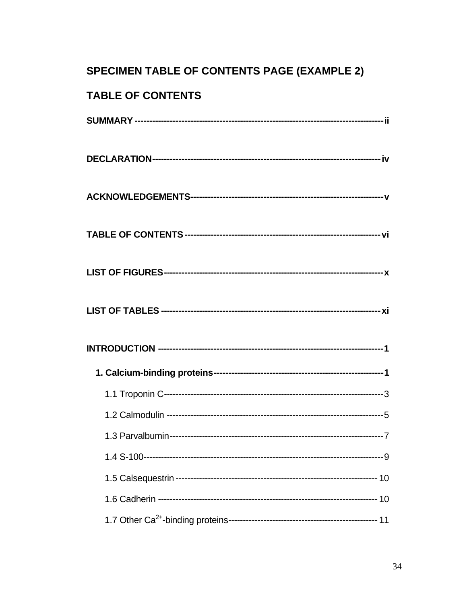# **SPECIMEN TABLE OF CONTENTS PAGE (EXAMPLE 2)**

# TABLE OF CONTENTS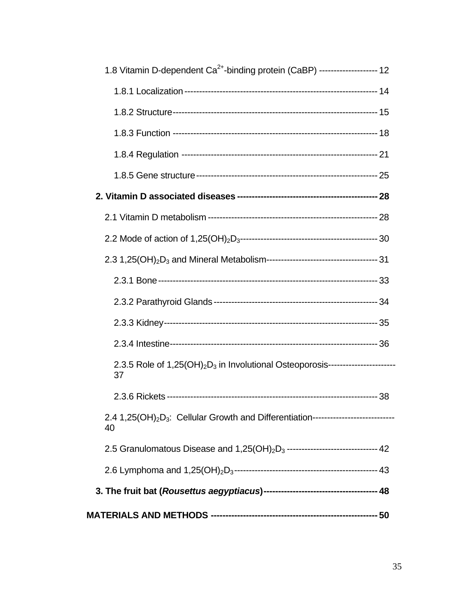| 1.8 Vitamin D-dependent Ca <sup>2+</sup> -binding protein (CaBP) -------------------- 12                          |  |
|-------------------------------------------------------------------------------------------------------------------|--|
|                                                                                                                   |  |
|                                                                                                                   |  |
|                                                                                                                   |  |
|                                                                                                                   |  |
|                                                                                                                   |  |
|                                                                                                                   |  |
|                                                                                                                   |  |
|                                                                                                                   |  |
|                                                                                                                   |  |
|                                                                                                                   |  |
|                                                                                                                   |  |
|                                                                                                                   |  |
|                                                                                                                   |  |
| 2.3.5 Role of 1,25(OH) <sub>2</sub> D <sub>3</sub> in Involutional Osteoporosis-----------------------<br>37      |  |
|                                                                                                                   |  |
| 2.4 1,25(OH) <sub>2</sub> D <sub>3</sub> : Cellular Growth and Differentiation-----------------------------<br>40 |  |
| 2.5 Granulomatous Disease and 1,25(OH) <sub>2</sub> D <sub>3</sub> ------------------------------- 42             |  |
|                                                                                                                   |  |
|                                                                                                                   |  |
|                                                                                                                   |  |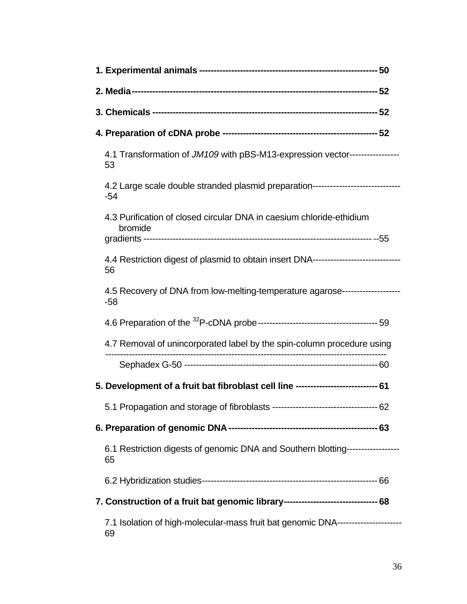| 4.1 Transformation of JM109 with pBS-M13-expression vector----------------<br>53          |  |
|-------------------------------------------------------------------------------------------|--|
| 4.2 Large scale double stranded plasmid preparation-----------------------------<br>$-54$ |  |
| 4.3 Purification of closed circular DNA in caesium chloride-ethidium<br>bromide           |  |
| 4.4 Restriction digest of plasmid to obtain insert DNA---------------------------<br>56   |  |
| 4.5 Recovery of DNA from low-melting-temperature agarose-------------------<br>-58        |  |
|                                                                                           |  |
| 4.7 Removal of unincorporated label by the spin-column procedure using                    |  |
|                                                                                           |  |
| 5. Development of a fruit bat fibroblast cell line ---------------------------- 61        |  |
|                                                                                           |  |
|                                                                                           |  |
| 6.1 Restriction digests of genomic DNA and Southern blotting------------------<br>65      |  |
|                                                                                           |  |
| 7. Construction of a fruit bat genomic library--------------------------------- 68        |  |
| 7.1 Isolation of high-molecular-mass fruit bat genomic DNA----------------------<br>69    |  |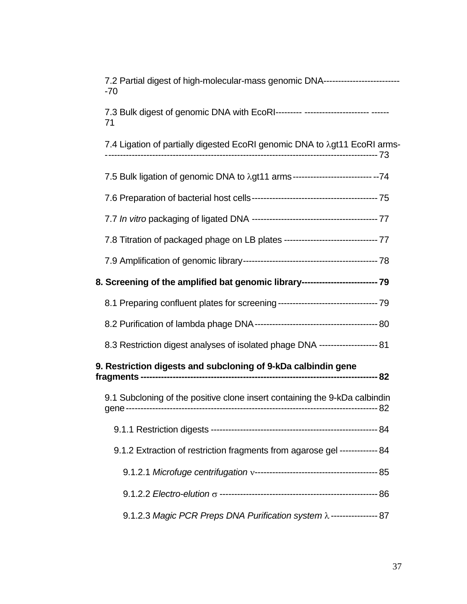| 7.2 Partial digest of high-molecular-mass genomic DNA---------------------------<br>-70  |
|------------------------------------------------------------------------------------------|
| 7.3 Bulk digest of genomic DNA with EcoRI-------- --------------------- ------<br>71     |
| 7.4 Ligation of partially digested EcoRI genomic DNA to $\lambda$ gt11 EcoRI arms-       |
| 7.5 Bulk ligation of genomic DNA to $\lambda$ gt11 arms --------------------------- --74 |
|                                                                                          |
|                                                                                          |
| 7.8 Titration of packaged phage on LB plates ----------------------------------- 77      |
|                                                                                          |
| 8. Screening of the amplified bat genomic library------------------------- 79            |
|                                                                                          |
|                                                                                          |
| 8.3 Restriction digest analyses of isolated phage DNA -------------------- 81            |
| 9. Restriction digests and subcloning of 9-kDa calbindin gene                            |
| 9.1 Subcloning of the positive clone insert containing the 9-kDa calbindin               |
|                                                                                          |
| 9.1.2 Extraction of restriction fragments from agarose gel ------------- 84              |
|                                                                                          |
|                                                                                          |
| 9.1.2.3 Magic PCR Preps DNA Purification system $\lambda$ ---------------- 87            |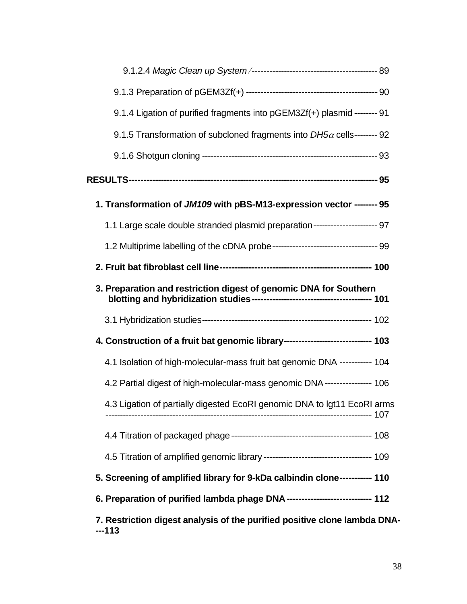| 9.1.4 Ligation of purified fragments into pGEM3Zf(+) plasmid -------- 91         |  |
|----------------------------------------------------------------------------------|--|
| 9.1.5 Transformation of subcloned fragments into $DH5\alpha$ cells-------- 92    |  |
|                                                                                  |  |
|                                                                                  |  |
| 1. Transformation of JM109 with pBS-M13-expression vector -------- 95            |  |
| 1.1 Large scale double stranded plasmid preparation---------------------- 97     |  |
|                                                                                  |  |
|                                                                                  |  |
| 3. Preparation and restriction digest of genomic DNA for Southern                |  |
|                                                                                  |  |
| 4. Construction of a fruit bat genomic library------------------------------ 103 |  |
| 4.1 Isolation of high-molecular-mass fruit bat genomic DNA ----------- 104       |  |
| 4.2 Partial digest of high-molecular-mass genomic DNA --------------- 106        |  |
| 4.3 Ligation of partially digested EcoRI genomic DNA to Igt11 EcoRI arms         |  |
|                                                                                  |  |
|                                                                                  |  |
| 5. Screening of amplified library for 9-kDa calbindin clone----------- 110       |  |
| 6. Preparation of purified lambda phage DNA ---------------------------- 112     |  |
| 7. Restriction digest analysis of the purified positive clone lambda DNA-        |  |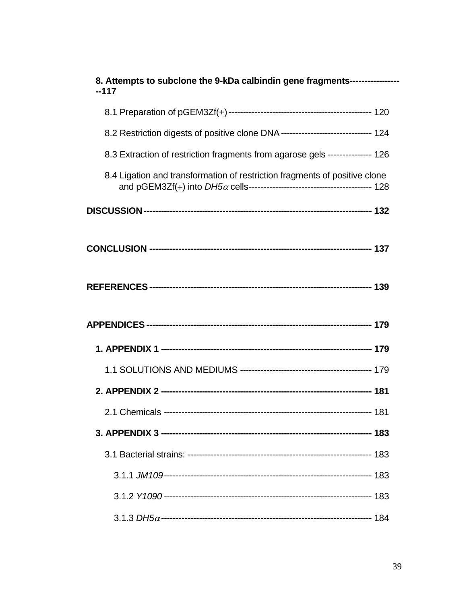| 8. Attempts to subclone the 9-kDa calbindin gene fragments-----------------       |  |
|-----------------------------------------------------------------------------------|--|
| $-117$                                                                            |  |
|                                                                                   |  |
| 8.2 Restriction digests of positive clone DNA ------------------------------- 124 |  |
| 8.3 Extraction of restriction fragments from agarose gels --------------- 126     |  |
| 8.4 Ligation and transformation of restriction fragments of positive clone        |  |
|                                                                                   |  |
|                                                                                   |  |
|                                                                                   |  |
|                                                                                   |  |
|                                                                                   |  |
|                                                                                   |  |
|                                                                                   |  |
|                                                                                   |  |
|                                                                                   |  |
|                                                                                   |  |
|                                                                                   |  |
|                                                                                   |  |
|                                                                                   |  |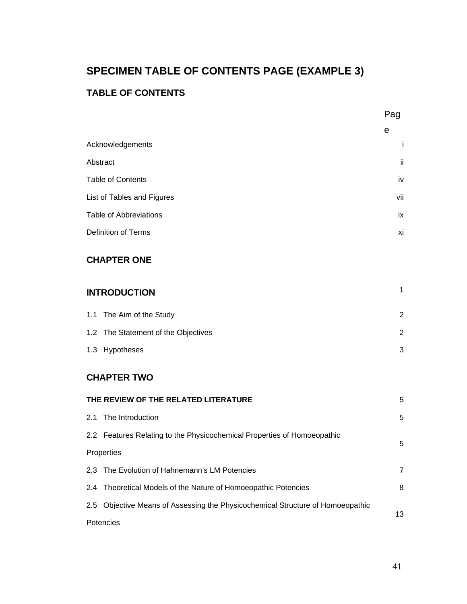# **SPECIMEN TABLE OF CONTENTS PAGE (EXAMPLE 3)**

## **TABLE OF CONTENTS**

|                               | e   |
|-------------------------------|-----|
| Acknowledgements              | i.  |
| Abstract                      | ii. |
| <b>Table of Contents</b>      | iv  |
| List of Tables and Figures    | vii |
| <b>Table of Abbreviations</b> | ix  |
| Definition of Terms           | xi  |

## **CHAPTER ONE**

# **INTRODUCTION** <sup>1</sup> 1.1 The Aim of the Study 2

| 1.2 The Statement of the Objectives |  |
|-------------------------------------|--|
| 1.3 Hypotheses                      |  |

## **CHAPTER TWO**

| THE REVIEW OF THE RELATED LITERATURE |                                                                                |                |
|--------------------------------------|--------------------------------------------------------------------------------|----------------|
|                                      | 2.1 The Introduction                                                           | 5              |
|                                      | 2.2 Features Relating to the Physicochemical Properties of Homoeopathic        | 5              |
|                                      | Properties                                                                     |                |
|                                      | 2.3 The Evolution of Hahnemann's LM Potencies                                  | $\overline{7}$ |
|                                      | 2.4 Theoretical Models of the Nature of Homoeopathic Potencies                 | 8              |
|                                      | 2.5 Objective Means of Assessing the Physicochemical Structure of Homoeopathic | 13             |
| Potencies                            |                                                                                |                |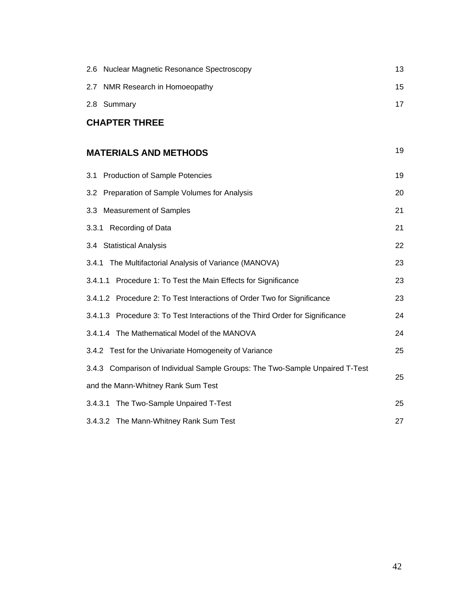| <b>Nuclear Magnetic Resonance Spectroscopy</b><br>2.6                         | 13 |
|-------------------------------------------------------------------------------|----|
| 2.7 NMR Research in Homoeopathy                                               | 15 |
| 2.8 Summary                                                                   | 17 |
| <b>CHAPTER THREE</b>                                                          |    |
| <b>MATERIALS AND METHODS</b>                                                  | 19 |
| <b>Production of Sample Potencies</b><br>3.1                                  | 19 |
| 3.2 Preparation of Sample Volumes for Analysis                                | 20 |
| 3.3 Measurement of Samples                                                    | 21 |
| 3.3.1 Recording of Data                                                       | 21 |
| 3.4 Statistical Analysis                                                      | 22 |
| 3.4.1 The Multifactorial Analysis of Variance (MANOVA)                        | 23 |
| 3.4.1.1 Procedure 1: To Test the Main Effects for Significance                | 23 |
| 3.4.1.2 Procedure 2: To Test Interactions of Order Two for Significance       | 23 |
| 3.4.1.3 Procedure 3: To Test Interactions of the Third Order for Significance | 24 |
| 3.4.1.4 The Mathematical Model of the MANOVA                                  | 24 |
| 3.4.2 Test for the Univariate Homogeneity of Variance                         | 25 |
| 3.4.3 Comparison of Individual Sample Groups: The Two-Sample Unpaired T-Test  |    |
| and the Mann-Whitney Rank Sum Test                                            | 25 |
| 3.4.3.1 The Two-Sample Unpaired T-Test                                        | 25 |
| 3.4.3.2 The Mann-Whitney Rank Sum Test                                        | 27 |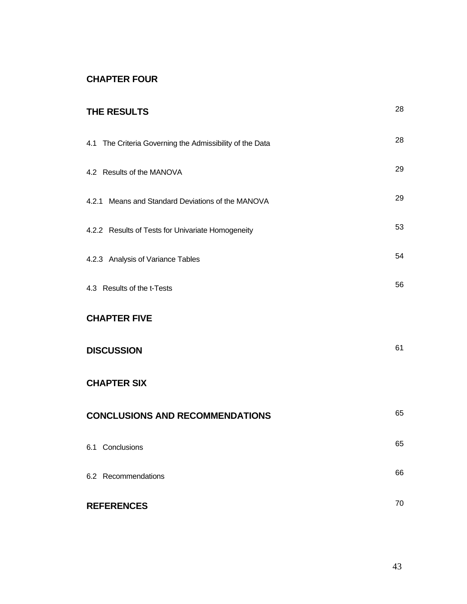## **CHAPTER FOUR**

| THE RESULTS                                              | 28 |
|----------------------------------------------------------|----|
| 4.1 The Criteria Governing the Admissibility of the Data | 28 |
| 4.2 Results of the MANOVA                                | 29 |
| 4.2.1 Means and Standard Deviations of the MANOVA        | 29 |
| 4.2.2 Results of Tests for Univariate Homogeneity        | 53 |
| 4.2.3 Analysis of Variance Tables                        | 54 |
| 4.3 Results of the t-Tests                               | 56 |
| <b>CHAPTER FIVE</b>                                      |    |
| <b>DISCUSSION</b>                                        | 61 |
| <b>CHAPTER SIX</b>                                       |    |
| <b>CONCLUSIONS AND RECOMMENDATIONS</b>                   | 65 |
| 6.1 Conclusions                                          | 65 |
| 6.2 Recommendations                                      | 66 |
| <b>REFERENCES</b>                                        | 70 |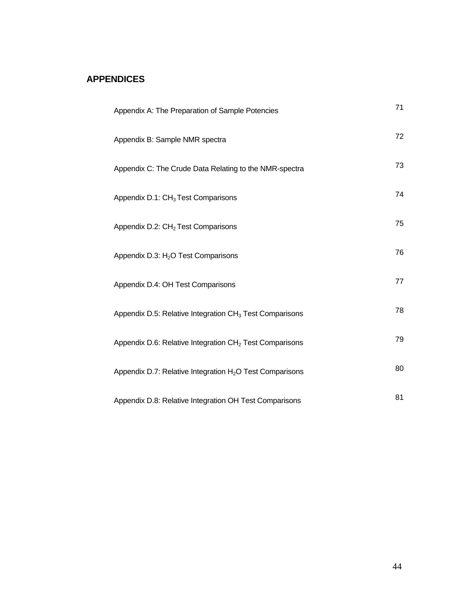## **APPENDICES**

| Appendix A: The Preparation of Sample Potencies                      | 71 |
|----------------------------------------------------------------------|----|
| Appendix B: Sample NMR spectra                                       | 72 |
| Appendix C: The Crude Data Relating to the NMR-spectra               | 73 |
| Appendix D.1: CH <sub>3</sub> Test Comparisons                       | 74 |
| Appendix D.2: CH <sub>2</sub> Test Comparisons                       | 75 |
| Appendix D.3: H <sub>2</sub> O Test Comparisons                      | 76 |
| Appendix D.4: OH Test Comparisons                                    | 77 |
| Appendix D.5: Relative Integration CH <sub>3</sub> Test Comparisons  | 78 |
| Appendix D.6: Relative Integration CH <sub>2</sub> Test Comparisons  | 79 |
| Appendix D.7: Relative Integration H <sub>2</sub> O Test Comparisons | 80 |
| Appendix D.8: Relative Integration OH Test Comparisons               | 81 |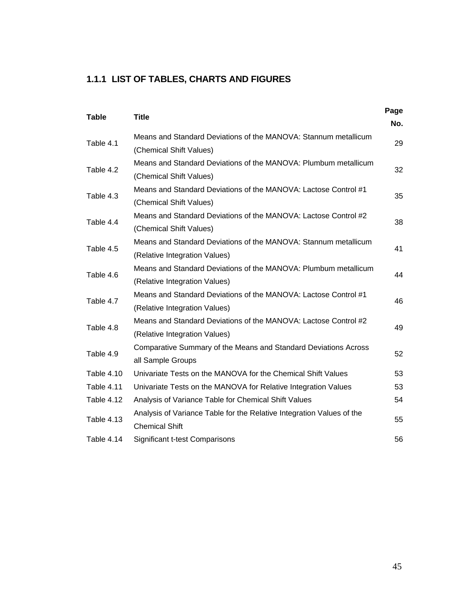## **1.1.1 LIST OF TABLES, CHARTS AND FIGURES**

| <b>Table</b> | <b>Title</b>                                                                                     | Page<br>No. |
|--------------|--------------------------------------------------------------------------------------------------|-------------|
| Table 4.1    | Means and Standard Deviations of the MANOVA: Stannum metallicum<br>(Chemical Shift Values)       | 29          |
| Table 4.2    | Means and Standard Deviations of the MANOVA: Plumbum metallicum<br>(Chemical Shift Values)       | 32          |
| Table 4.3    | Means and Standard Deviations of the MANOVA: Lactose Control #1<br>(Chemical Shift Values)       | 35          |
| Table 4.4    | Means and Standard Deviations of the MANOVA: Lactose Control #2<br>(Chemical Shift Values)       | 38          |
| Table 4.5    | Means and Standard Deviations of the MANOVA: Stannum metallicum<br>(Relative Integration Values) | 41          |
| Table 4.6    | Means and Standard Deviations of the MANOVA: Plumbum metallicum<br>(Relative Integration Values) | 44          |
| Table 4.7    | Means and Standard Deviations of the MANOVA: Lactose Control #1<br>(Relative Integration Values) | 46          |
| Table 4.8    | Means and Standard Deviations of the MANOVA: Lactose Control #2<br>(Relative Integration Values) | 49          |
| Table 4.9    | Comparative Summary of the Means and Standard Deviations Across<br>all Sample Groups             | 52          |
| Table 4.10   | Univariate Tests on the MANOVA for the Chemical Shift Values                                     | 53          |
| Table 4.11   | Univariate Tests on the MANOVA for Relative Integration Values                                   | 53          |
| Table 4.12   | Analysis of Variance Table for Chemical Shift Values                                             | 54          |
| Table 4.13   | Analysis of Variance Table for the Relative Integration Values of the<br><b>Chemical Shift</b>   | 55          |
| Table 4.14   | Significant t-test Comparisons                                                                   | 56          |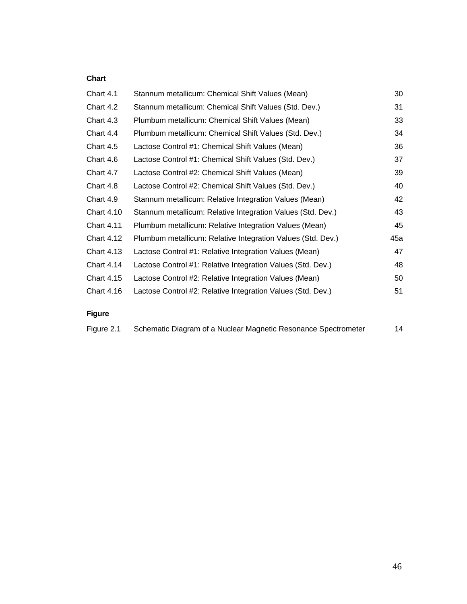#### **Chart**

| Chart 4.1         | Stannum metallicum: Chemical Shift Values (Mean)            | 30  |
|-------------------|-------------------------------------------------------------|-----|
| Chart 4.2         | Stannum metallicum: Chemical Shift Values (Std. Dev.)       | 31  |
| Chart 4.3         | Plumbum metallicum: Chemical Shift Values (Mean)            | 33  |
| Chart 4.4         | Plumbum metallicum: Chemical Shift Values (Std. Dev.)       | 34  |
| Chart 4.5         | Lactose Control #1: Chemical Shift Values (Mean)            | 36  |
| Chart 4.6         | Lactose Control #1: Chemical Shift Values (Std. Dev.)       | 37  |
| Chart 4.7         | Lactose Control #2: Chemical Shift Values (Mean)            | 39  |
| Chart 4.8         | Lactose Control #2: Chemical Shift Values (Std. Dev.)       | 40  |
| Chart 4.9         | Stannum metallicum: Relative Integration Values (Mean)      | 42  |
| <b>Chart 4.10</b> | Stannum metallicum: Relative Integration Values (Std. Dev.) | 43  |
| <b>Chart 4.11</b> | Plumbum metallicum: Relative Integration Values (Mean)      | 45  |
| <b>Chart 4.12</b> | Plumbum metallicum: Relative Integration Values (Std. Dev.) | 45a |
| <b>Chart 4.13</b> | Lactose Control #1: Relative Integration Values (Mean)      | 47  |
| <b>Chart 4.14</b> | Lactose Control #1: Relative Integration Values (Std. Dev.) | 48  |
| <b>Chart 4.15</b> | Lactose Control #2: Relative Integration Values (Mean)      | 50  |
| <b>Chart 4.16</b> | Lactose Control #2: Relative Integration Values (Std. Dev.) | 51  |
|                   |                                                             |     |

## **Figure**

| Figure 2.1 | Schematic Diagram of a Nuclear Magnetic Resonance Spectrometer |  |
|------------|----------------------------------------------------------------|--|
|            |                                                                |  |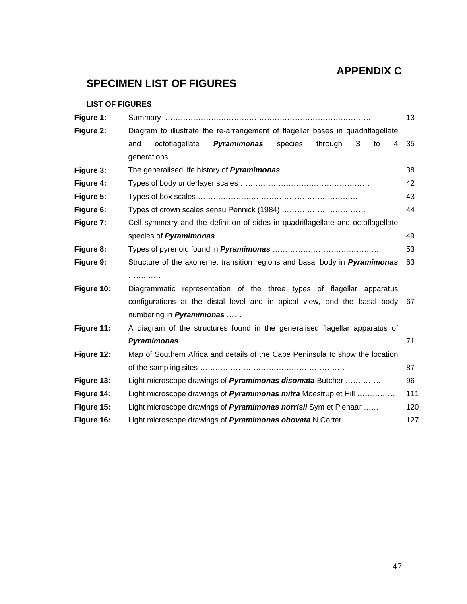## **APPENDIX C**

## **SPECIMEN LIST OF FIGURES**

#### **LIST OF FIGURES**

| Figure 1:  |                                                                                   | 13  |  |
|------------|-----------------------------------------------------------------------------------|-----|--|
| Figure 2:  | Diagram to illustrate the re-arrangement of flagellar bases in quadriflagellate   |     |  |
|            | Pyramimonas<br>octoflagellate<br>species<br>through<br>3<br>and<br>to<br>4        | 35  |  |
|            | generations                                                                       |     |  |
| Figure 3:  |                                                                                   | 38  |  |
| Figure 4:  |                                                                                   | 42  |  |
| Figure 5:  |                                                                                   | 43  |  |
| Figure 6:  |                                                                                   | 44  |  |
| Figure 7:  | Cell symmetry and the definition of sides in quadriflagellate and octoflagellate  |     |  |
|            |                                                                                   | 49  |  |
| Figure 8:  |                                                                                   | 53  |  |
| Figure 9:  | Structure of the axoneme, transition regions and basal body in <b>Pyramimonas</b> | 63  |  |
|            | .                                                                                 |     |  |
| Figure 10: | Diagrammatic representation of the three types of flagellar apparatus             |     |  |
|            | configurations at the distal level and in apical view, and the basal body 67      |     |  |
|            | numbering in <b>Pyramimonas</b>                                                   |     |  |
| Figure 11: | A diagram of the structures found in the generalised flagellar apparatus of       |     |  |
|            |                                                                                   | 71  |  |
| Figure 12: | Map of Southern Africa and details of the Cape Peninsula to show the location     |     |  |
|            |                                                                                   | 87  |  |
| Figure 13: | Light microscope drawings of Pyramimonas disomata Butcher                         | 96  |  |
| Figure 14: | Light microscope drawings of <i>Pyramimonas mitra</i> Moestrup et Hill            | 111 |  |
| Figure 15: | Light microscope drawings of <b>Pyramimonas norrisii</b> Sym et Pienaar           | 120 |  |
| Figure 16: | Light microscope drawings of <i>Pyramimonas obovata</i> N Carter                  | 127 |  |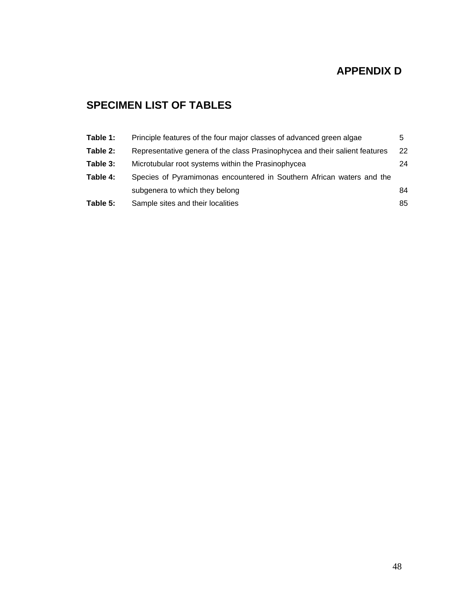## **APPENDIX D**

## **SPECIMEN LIST OF TABLES**

| Table 1: | Principle features of the four major classes of advanced green algae        | 5   |
|----------|-----------------------------------------------------------------------------|-----|
| Table 2: | Representative genera of the class Prasinophycea and their salient features | 22  |
| Table 3: | Microtubular root systems within the Prasinophycea                          | 24  |
| Table 4: | Species of Pyramimonas encountered in Southern African waters and the       |     |
|          | subgenera to which they belong                                              | 84. |
| Table 5: | Sample sites and their localities                                           | 85  |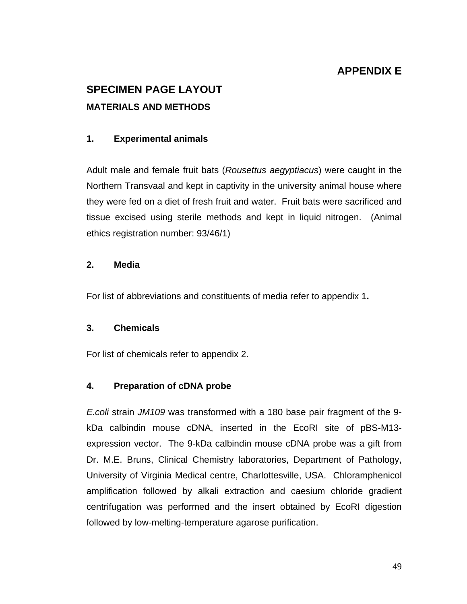## **APPENDIX E**

# **SPECIMEN PAGE LAYOUT MATERIALS AND METHODS**

## **1. Experimental animals**

Adult male and female fruit bats (*Rousettus aegyptiacus*) were caught in the Northern Transvaal and kept in captivity in the university animal house where they were fed on a diet of fresh fruit and water. Fruit bats were sacrificed and tissue excised using sterile methods and kept in liquid nitrogen. (Animal ethics registration number: 93/46/1)

#### **2. Media**

For list of abbreviations and constituents of media refer to appendix 1**.**

## **3. Chemicals**

For list of chemicals refer to appendix 2.

## **4. Preparation of cDNA probe**

*E.coli* strain *JM109* was transformed with a 180 base pair fragment of the 9 kDa calbindin mouse cDNA, inserted in the EcoRI site of pBS-M13 expression vector. The 9-kDa calbindin mouse cDNA probe was a gift from Dr. M.E. Bruns, Clinical Chemistry laboratories, Department of Pathology, University of Virginia Medical centre, Charlottesville, USA. Chloramphenicol amplification followed by alkali extraction and caesium chloride gradient centrifugation was performed and the insert obtained by EcoRI digestion followed by low-melting-temperature agarose purification.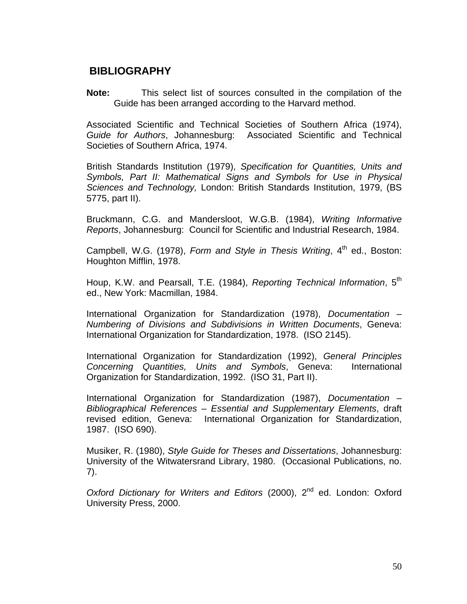## **BIBLIOGRAPHY**

**Note:** This select list of sources consulted in the compilation of the Guide has been arranged according to the Harvard method.

Associated Scientific and Technical Societies of Southern Africa (1974), *Guide for Authors*, Johannesburg: Associated Scientific and Technical Societies of Southern Africa, 1974.

British Standards Institution (1979), *Specification for Quantities, Units and Symbols, Part II: Mathematical Signs and Symbols for Use in Physical Sciences and Technology,* London: British Standards Institution, 1979, (BS 5775, part II).

Bruckmann, C.G. and Mandersloot, W.G.B. (1984), *Writing Informative Reports*, Johannesburg: Council for Scientific and Industrial Research, 1984.

Campbell, W.G. (1978), *Form and Style in Thesis Writing*, 4<sup>th</sup> ed., Boston: Houghton Mifflin, 1978.

Houp, K.W. and Pearsall, T.E. (1984), *Reporting Technical Information*, 5<sup>th</sup> ed., New York: Macmillan, 1984.

International Organization for Standardization (1978), *Documentation – Numbering of Divisions and Subdivisions in Written Documents*, Geneva: International Organization for Standardization, 1978. (ISO 2145).

International Organization for Standardization (1992), *General Principles Concerning Quantities, Units and Symbols*, Geneva: International Organization for Standardization, 1992. (ISO 31, Part II).

International Organization for Standardization (1987), *Documentation – Bibliographical References – Essential and Supplementary Elements*, draft revised edition, Geneva: International Organization for Standardization, 1987. (ISO 690).

Musiker, R. (1980), *Style Guide for Theses and Dissertations*, Johannesburg: University of the Witwatersrand Library, 1980. (Occasional Publications, no. 7).

Oxford Dictionary for Writers and Editors (2000), 2<sup>nd</sup> ed. London: Oxford University Press, 2000.